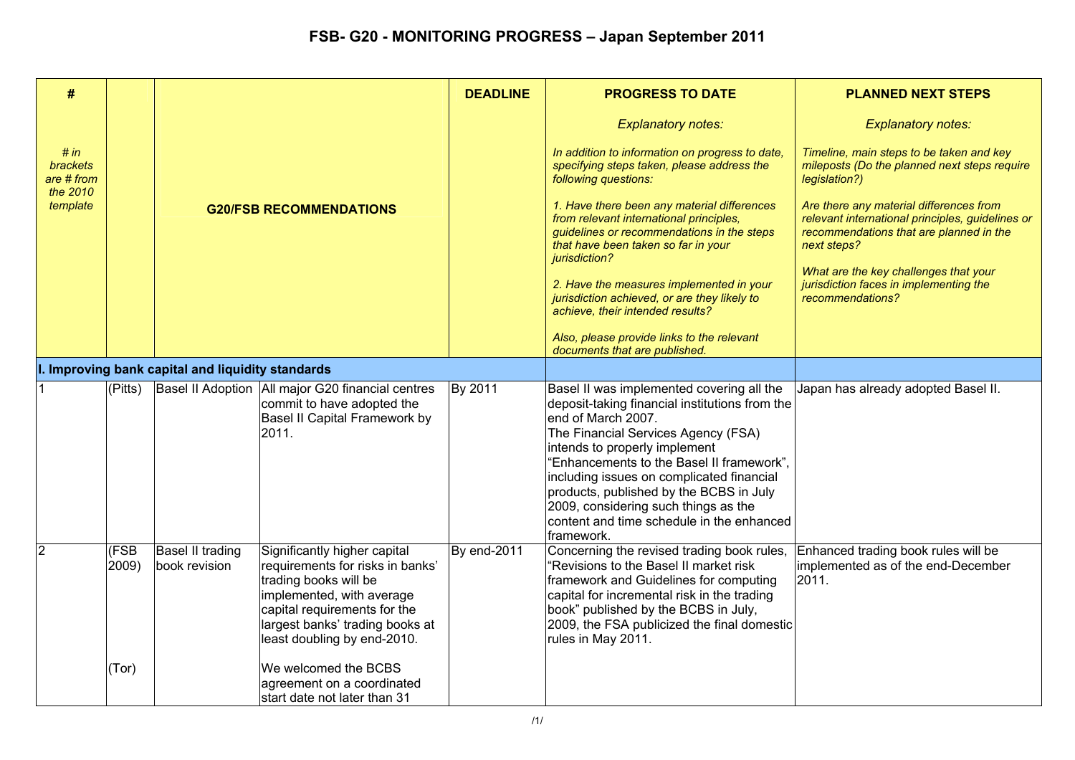| #                                                 |                                |                                                |                                                                                                                                                                                                                          | <b>DEADLINE</b>                                                                                                                                                                                     | <b>PROGRESS TO DATE</b>                                                                                                                                                                                                                                                                                                                                                                                                            | <b>PLANNED NEXT STEPS</b>                                                                                 |
|---------------------------------------------------|--------------------------------|------------------------------------------------|--------------------------------------------------------------------------------------------------------------------------------------------------------------------------------------------------------------------------|-----------------------------------------------------------------------------------------------------------------------------------------------------------------------------------------------------|------------------------------------------------------------------------------------------------------------------------------------------------------------------------------------------------------------------------------------------------------------------------------------------------------------------------------------------------------------------------------------------------------------------------------------|-----------------------------------------------------------------------------------------------------------|
|                                                   |                                |                                                |                                                                                                                                                                                                                          |                                                                                                                                                                                                     | <b>Explanatory notes:</b>                                                                                                                                                                                                                                                                                                                                                                                                          | <b>Explanatory notes:</b>                                                                                 |
| # in<br><b>brackets</b><br>are # from<br>the 2010 |                                |                                                |                                                                                                                                                                                                                          |                                                                                                                                                                                                     | In addition to information on progress to date,<br>specifying steps taken, please address the<br>following questions:                                                                                                                                                                                                                                                                                                              | Timeline, main steps to be taken and key<br>mileposts (Do the planned next steps require<br>legislation?) |
| template                                          | <b>G20/FSB RECOMMENDATIONS</b> |                                                |                                                                                                                                                                                                                          | 1. Have there been any material differences<br>from relevant international principles,<br>guidelines or recommendations in the steps<br>that have been taken so far in your<br><i>iurisdiction?</i> | Are there any material differences from<br>relevant international principles, guidelines or<br>recommendations that are planned in the<br>next steps?                                                                                                                                                                                                                                                                              |                                                                                                           |
|                                                   |                                |                                                |                                                                                                                                                                                                                          |                                                                                                                                                                                                     | 2. Have the measures implemented in your<br>jurisdiction achieved, or are they likely to<br>achieve, their intended results?                                                                                                                                                                                                                                                                                                       | What are the key challenges that your<br>jurisdiction faces in implementing the<br>recommendations?       |
|                                                   |                                |                                                |                                                                                                                                                                                                                          |                                                                                                                                                                                                     | Also, please provide links to the relevant<br>documents that are published.                                                                                                                                                                                                                                                                                                                                                        |                                                                                                           |
|                                                   |                                | Improving bank capital and liquidity standards |                                                                                                                                                                                                                          |                                                                                                                                                                                                     |                                                                                                                                                                                                                                                                                                                                                                                                                                    |                                                                                                           |
|                                                   | (Pitts)                        |                                                | Basel II Adoption   All major G20 financial centres<br>commit to have adopted the<br>Basel II Capital Framework by<br>2011.                                                                                              | By 2011                                                                                                                                                                                             | Basel II was implemented covering all the<br>deposit-taking financial institutions from the<br>lend of March 2007.<br>The Financial Services Agency (FSA)<br>intends to properly implement<br>"Enhancements to the Basel II framework",<br>including issues on complicated financial<br>products, published by the BCBS in July<br>2009, considering such things as the<br>content and time schedule in the enhanced<br>framework. | Japan has already adopted Basel II.                                                                       |
| 2                                                 | (FSB<br>2009)                  | Basel II trading<br>book revision              | Significantly higher capital<br>requirements for risks in banks'<br>trading books will be<br>implemented, with average<br>capital requirements for the<br>largest banks' trading books at<br>least doubling by end-2010. | By end-2011                                                                                                                                                                                         | Concerning the revised trading book rules,<br>"Revisions to the Basel II market risk<br>framework and Guidelines for computing<br>capital for incremental risk in the trading<br>book" published by the BCBS in July,<br>2009, the FSA publicized the final domestic<br>rules in May 2011.                                                                                                                                         | Enhanced trading book rules will be<br>implemented as of the end-December<br>2011.                        |
|                                                   | (Tor)                          |                                                | We welcomed the BCBS<br>agreement on a coordinated<br>start date not later than 31                                                                                                                                       |                                                                                                                                                                                                     |                                                                                                                                                                                                                                                                                                                                                                                                                                    |                                                                                                           |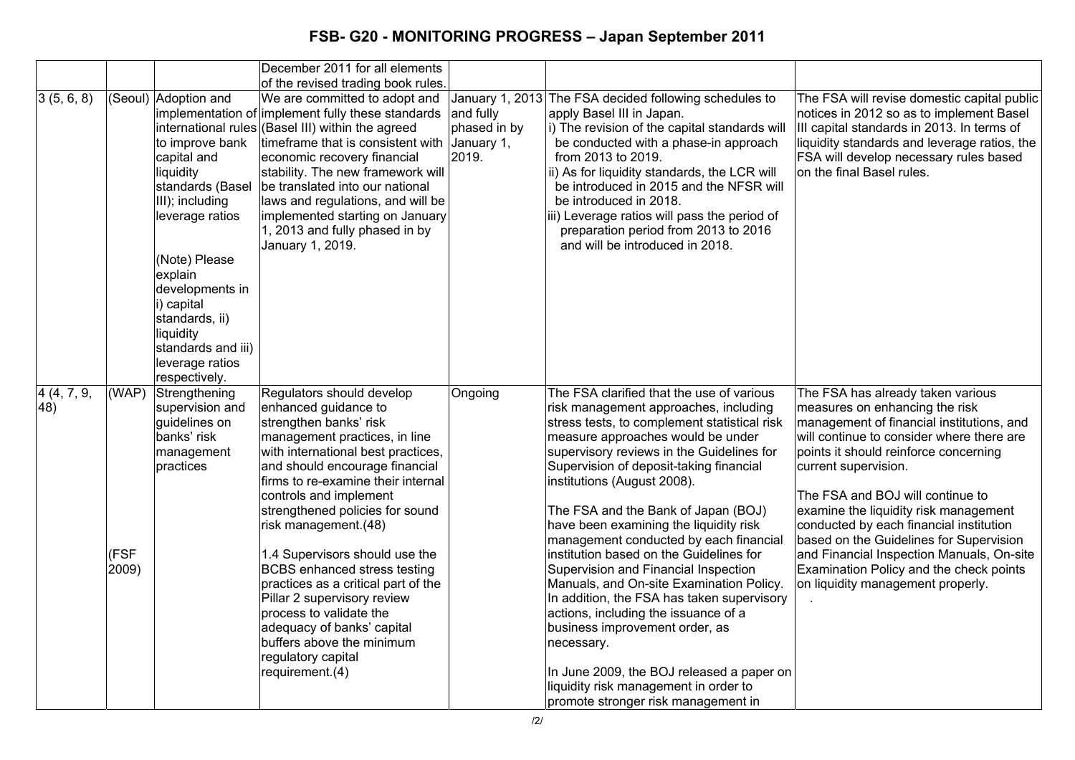|                    |                        |                                                                                                                                                                                                                                                                                     | December 2011 for all elements                                                                                                                                                                                                                                                                                                                                                                                                                                                                                                                                                                |                                                  |                                                                                                                                                                                                                                                                                                                                                                                                                                                                                                                                                                                                                                                                                                                                                                                                                             |                                                                                                                                                                                                                                                                                                                                                                                                                                                                                                                                |
|--------------------|------------------------|-------------------------------------------------------------------------------------------------------------------------------------------------------------------------------------------------------------------------------------------------------------------------------------|-----------------------------------------------------------------------------------------------------------------------------------------------------------------------------------------------------------------------------------------------------------------------------------------------------------------------------------------------------------------------------------------------------------------------------------------------------------------------------------------------------------------------------------------------------------------------------------------------|--------------------------------------------------|-----------------------------------------------------------------------------------------------------------------------------------------------------------------------------------------------------------------------------------------------------------------------------------------------------------------------------------------------------------------------------------------------------------------------------------------------------------------------------------------------------------------------------------------------------------------------------------------------------------------------------------------------------------------------------------------------------------------------------------------------------------------------------------------------------------------------------|--------------------------------------------------------------------------------------------------------------------------------------------------------------------------------------------------------------------------------------------------------------------------------------------------------------------------------------------------------------------------------------------------------------------------------------------------------------------------------------------------------------------------------|
| 3(5, 6, 8)         |                        | (Seoul) Adoption and<br>to improve bank<br>capital and<br>liquidity<br>standards (Basel<br>III); including<br>leverage ratios<br>(Note) Please<br>explain<br>developments in<br>i) capital<br>standards, ii)<br>liquidity<br>standards and iii)<br>leverage ratios<br>respectively. | of the revised trading book rules.<br>We are committed to adopt and<br>implementation of implement fully these standards<br>international rules (Basel III) within the agreed<br>timeframe that is consistent with<br>economic recovery financial<br>stability. The new framework will<br>be translated into our national<br>laws and regulations, and will be<br>implemented starting on January<br>1, 2013 and fully phased in by<br>January 1, 2019.                                                                                                                                       | and fully<br>phased in by<br>January 1,<br>2019. | January 1, 2013 The FSA decided following schedules to<br>apply Basel III in Japan.<br>i) The revision of the capital standards will<br>be conducted with a phase-in approach<br>from 2013 to 2019.<br>ii) As for liquidity standards, the LCR will<br>be introduced in 2015 and the NFSR will<br>be introduced in 2018.<br>iii) Leverage ratios will pass the period of<br>preparation period from 2013 to 2016<br>and will be introduced in 2018.                                                                                                                                                                                                                                                                                                                                                                         | The FSA will revise domestic capital public<br>notices in 2012 so as to implement Basel<br>III capital standards in 2013. In terms of<br>liquidity standards and leverage ratios, the<br>FSA will develop necessary rules based<br>on the final Basel rules.                                                                                                                                                                                                                                                                   |
| 4 (4, 7, 9,<br>48) | (WAP)<br>(FSF<br>2009) | Strengthening<br>supervision and<br>guidelines on<br>banks' risk<br>management<br>practices                                                                                                                                                                                         | Regulators should develop<br>enhanced guidance to<br>strengthen banks' risk<br>management practices, in line<br>with international best practices,<br>and should encourage financial<br>firms to re-examine their internal<br>controls and implement<br>strengthened policies for sound<br>risk management.(48)<br>1.4 Supervisors should use the<br><b>BCBS</b> enhanced stress testing<br>practices as a critical part of the<br>Pillar 2 supervisory review<br>process to validate the<br>adequacy of banks' capital<br>buffers above the minimum<br>regulatory capital<br>requirement.(4) | Ongoing                                          | The FSA clarified that the use of various<br>risk management approaches, including<br>stress tests, to complement statistical risk<br>measure approaches would be under<br>supervisory reviews in the Guidelines for<br>Supervision of deposit-taking financial<br>institutions (August 2008).<br>The FSA and the Bank of Japan (BOJ)<br>have been examining the liquidity risk<br>management conducted by each financial<br>institution based on the Guidelines for<br>Supervision and Financial Inspection<br>Manuals, and On-site Examination Policy.<br>In addition, the FSA has taken supervisory<br>actions, including the issuance of a<br>business improvement order, as<br>necessary.<br>In June 2009, the BOJ released a paper on<br>liquidity risk management in order to<br>promote stronger risk management in | The FSA has already taken various<br>measures on enhancing the risk<br>management of financial institutions, and<br>will continue to consider where there are<br>points it should reinforce concerning<br>current supervision.<br>The FSA and BOJ will continue to<br>examine the liquidity risk management<br>conducted by each financial institution<br>based on the Guidelines for Supervision<br>and Financial Inspection Manuals, On-site<br>Examination Policy and the check points<br>on liquidity management properly. |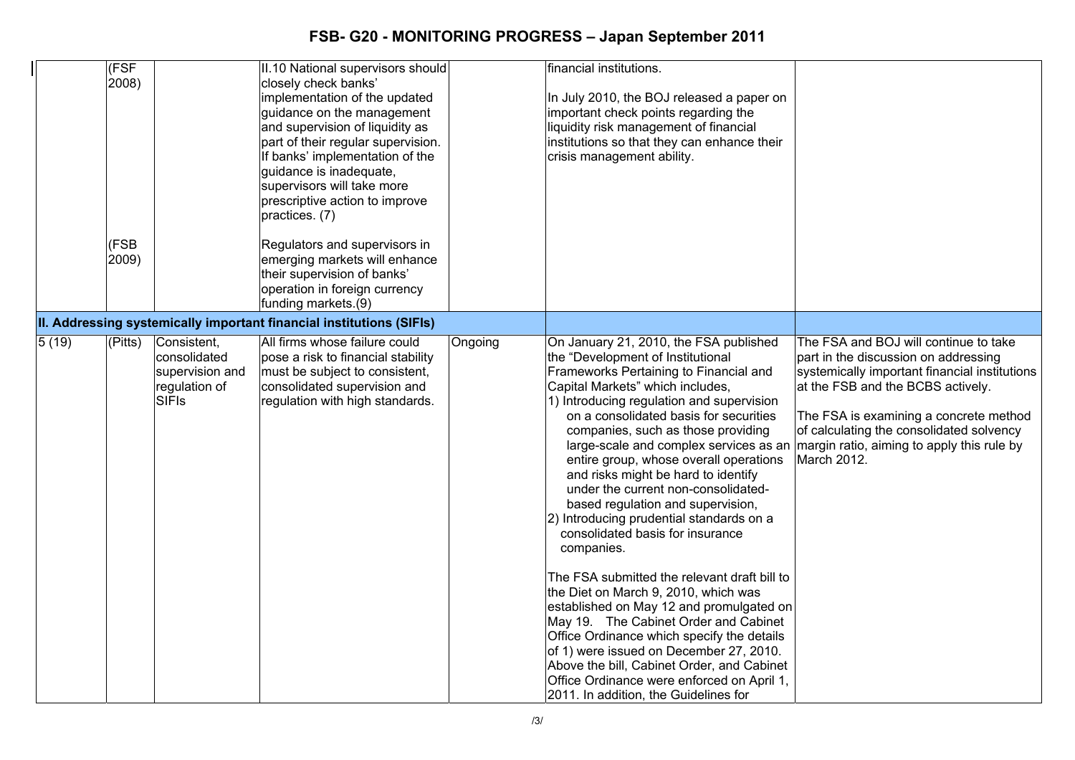|       | (FSF<br>2008)<br>(FSB |                                                                                 | II.10 National supervisors should<br>closely check banks'<br>implementation of the updated<br>guidance on the management<br>and supervision of liquidity as<br>part of their regular supervision.<br>If banks' implementation of the<br>guidance is inadequate,<br>supervisors will take more<br>prescriptive action to improve<br>practices. (7)<br>Regulators and supervisors in |         | financial institutions.<br>In July 2010, the BOJ released a paper on<br>important check points regarding the<br>liquidity risk management of financial<br>institutions so that they can enhance their<br>crisis management ability.                                                                                                                                                                                                                                                                                                                                                                                                                                                                                                                                                                                                                                                                                                                                                                    |                                                                                                                                                                                                                                                                                                                        |
|-------|-----------------------|---------------------------------------------------------------------------------|------------------------------------------------------------------------------------------------------------------------------------------------------------------------------------------------------------------------------------------------------------------------------------------------------------------------------------------------------------------------------------|---------|--------------------------------------------------------------------------------------------------------------------------------------------------------------------------------------------------------------------------------------------------------------------------------------------------------------------------------------------------------------------------------------------------------------------------------------------------------------------------------------------------------------------------------------------------------------------------------------------------------------------------------------------------------------------------------------------------------------------------------------------------------------------------------------------------------------------------------------------------------------------------------------------------------------------------------------------------------------------------------------------------------|------------------------------------------------------------------------------------------------------------------------------------------------------------------------------------------------------------------------------------------------------------------------------------------------------------------------|
|       | 2009)                 |                                                                                 | emerging markets will enhance<br>their supervision of banks'<br>operation in foreign currency<br>funding markets.(9)                                                                                                                                                                                                                                                               |         |                                                                                                                                                                                                                                                                                                                                                                                                                                                                                                                                                                                                                                                                                                                                                                                                                                                                                                                                                                                                        |                                                                                                                                                                                                                                                                                                                        |
|       |                       |                                                                                 | II. Addressing systemically important financial institutions (SIFIs)                                                                                                                                                                                                                                                                                                               |         |                                                                                                                                                                                                                                                                                                                                                                                                                                                                                                                                                                                                                                                                                                                                                                                                                                                                                                                                                                                                        |                                                                                                                                                                                                                                                                                                                        |
| 5(19) | (Pitts)               | Consistent,<br>consolidated<br>supervision and<br>regulation of<br><b>SIFIS</b> | All firms whose failure could<br>pose a risk to financial stability<br>must be subject to consistent,<br>consolidated supervision and<br>regulation with high standards.                                                                                                                                                                                                           | Ongoing | On January 21, 2010, the FSA published<br>the "Development of Institutional<br>Frameworks Pertaining to Financial and<br>Capital Markets" which includes,<br>1) Introducing regulation and supervision<br>on a consolidated basis for securities<br>companies, such as those providing<br>large-scale and complex services as an<br>entire group, whose overall operations<br>and risks might be hard to identify<br>under the current non-consolidated-<br>based regulation and supervision,<br>2) Introducing prudential standards on a<br>consolidated basis for insurance<br>companies.<br>The FSA submitted the relevant draft bill to<br>the Diet on March 9, 2010, which was<br>established on May 12 and promulgated on<br>May 19. The Cabinet Order and Cabinet<br>Office Ordinance which specify the details<br>of 1) were issued on December 27, 2010.<br>Above the bill, Cabinet Order, and Cabinet<br>Office Ordinance were enforced on April 1,<br>2011. In addition, the Guidelines for | The FSA and BOJ will continue to take<br>part in the discussion on addressing<br>systemically important financial institutions<br>at the FSB and the BCBS actively.<br>The FSA is examining a concrete method<br>of calculating the consolidated solvency<br>margin ratio, aiming to apply this rule by<br>March 2012. |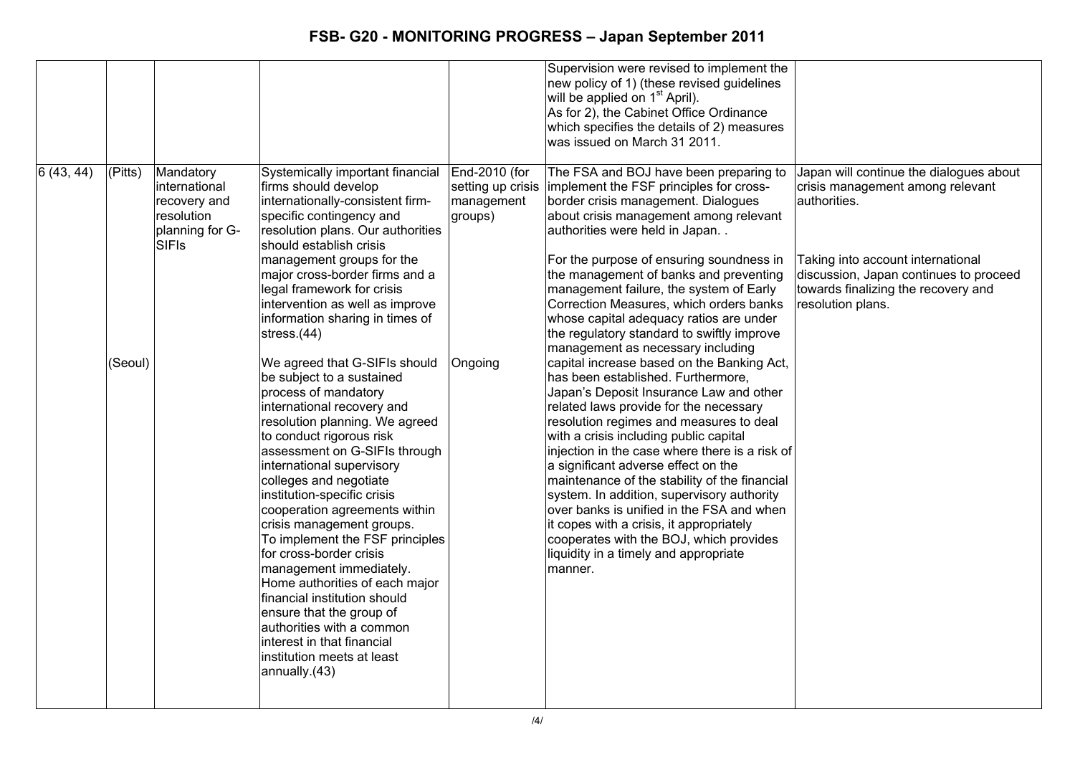|           |                    |                                                                                             |                                                                                                                                                                                                                                                                                                                                                                                                                                                                                                                                                                                                        |                                                   | Supervision were revised to implement the<br>new policy of 1) (these revised guidelines<br>will be applied on 1 <sup>st</sup> April).<br>As for 2), the Cabinet Office Ordinance<br>which specifies the details of 2) measures<br>was issued on March 31 2011.                                                                                                                                                                                                                                                                                                                                                       |                                                                                                                                                                                                                                        |
|-----------|--------------------|---------------------------------------------------------------------------------------------|--------------------------------------------------------------------------------------------------------------------------------------------------------------------------------------------------------------------------------------------------------------------------------------------------------------------------------------------------------------------------------------------------------------------------------------------------------------------------------------------------------------------------------------------------------------------------------------------------------|---------------------------------------------------|----------------------------------------------------------------------------------------------------------------------------------------------------------------------------------------------------------------------------------------------------------------------------------------------------------------------------------------------------------------------------------------------------------------------------------------------------------------------------------------------------------------------------------------------------------------------------------------------------------------------|----------------------------------------------------------------------------------------------------------------------------------------------------------------------------------------------------------------------------------------|
| 6(43, 44) | (Pitts)<br>(Seoul) | Mandatory<br>international<br>recovery and<br>resolution<br>planning for G-<br><b>SIFIs</b> | Systemically important financial<br>firms should develop<br>internationally-consistent firm-<br>specific contingency and<br>resolution plans. Our authorities<br>should establish crisis<br>management groups for the<br>major cross-border firms and a<br>legal framework for crisis<br>intervention as well as improve<br>information sharing in times of<br>stress. $(44)$<br>We agreed that G-SIFIs should<br>be subject to a sustained                                                                                                                                                            | End-2010 (for<br>management<br>groups)<br>Ongoing | The FSA and BOJ have been preparing to<br>setting up crisis implement the FSF principles for cross-<br>border crisis management. Dialogues<br>about crisis management among relevant<br>authorities were held in Japan<br>For the purpose of ensuring soundness in<br>the management of banks and preventing<br>management failure, the system of Early<br>Correction Measures, which orders banks<br>whose capital adequacy ratios are under<br>the regulatory standard to swiftly improve<br>management as necessary including<br>capital increase based on the Banking Act,<br>has been established. Furthermore, | Japan will continue the dialogues about<br>crisis management among relevant<br>authorities.<br>Taking into account international<br>discussion, Japan continues to proceed<br>towards finalizing the recovery and<br>resolution plans. |
|           |                    |                                                                                             | process of mandatory<br>international recovery and<br>resolution planning. We agreed<br>to conduct rigorous risk<br>assessment on G-SIFIs through<br>international supervisory<br>colleges and negotiate<br>institution-specific crisis<br>cooperation agreements within<br>crisis management groups.<br>To implement the FSF principles<br>for cross-border crisis<br>management immediately.<br>Home authorities of each major<br>financial institution should<br>ensure that the group of<br>authorities with a common<br>interest in that financial<br>institution meets at least<br>annually.(43) |                                                   | Japan's Deposit Insurance Law and other<br>related laws provide for the necessary<br>resolution regimes and measures to deal<br>with a crisis including public capital<br>injection in the case where there is a risk of<br>a significant adverse effect on the<br>maintenance of the stability of the financial<br>system. In addition, supervisory authority<br>over banks is unified in the FSA and when<br>it copes with a crisis, it appropriately<br>cooperates with the BOJ, which provides<br>liquidity in a timely and appropriate<br>manner.                                                               |                                                                                                                                                                                                                                        |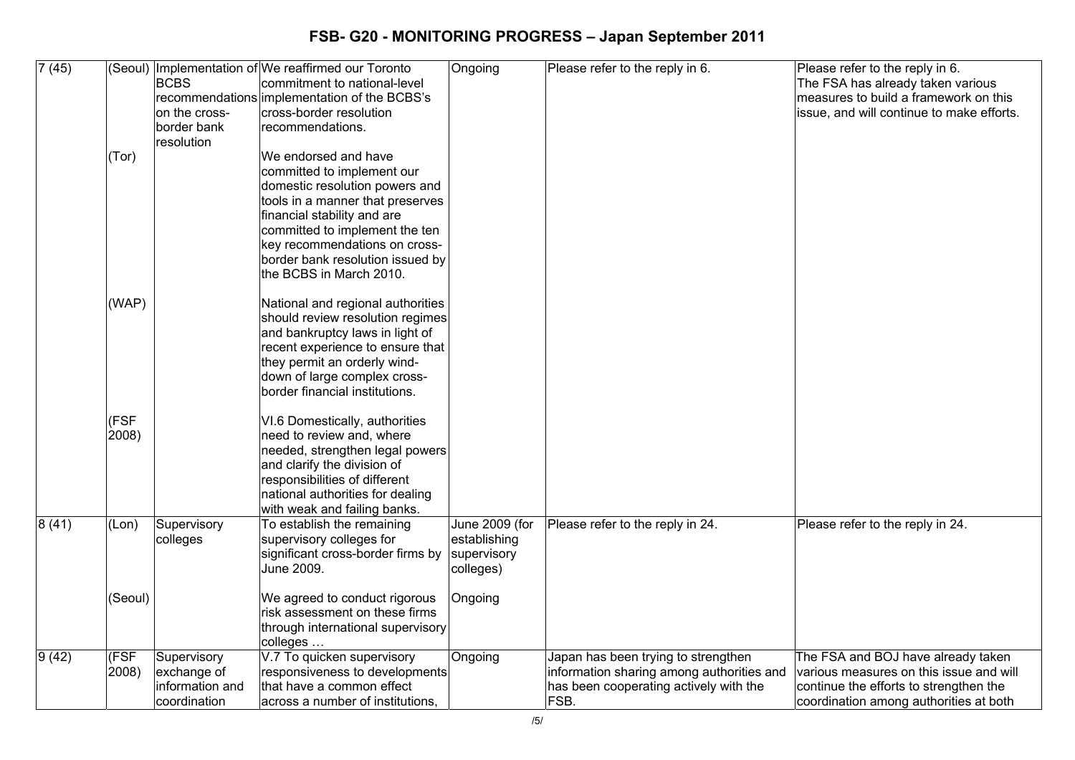| 7(45) |                | <b>BCBS</b><br>on the cross-<br>border bank<br>resolution      | (Seoul) Implementation of We reaffirmed our Toronto<br>commitment to national-level<br>recommendations implementation of the BCBS's<br>cross-border resolution<br>recommendations.                                                                                                        | Ongoing                                                    | Please refer to the reply in 6.                                                                                                    | Please refer to the reply in 6.<br>The FSA has already taken various<br>measures to build a framework on this<br>issue, and will continue to make efforts.        |
|-------|----------------|----------------------------------------------------------------|-------------------------------------------------------------------------------------------------------------------------------------------------------------------------------------------------------------------------------------------------------------------------------------------|------------------------------------------------------------|------------------------------------------------------------------------------------------------------------------------------------|-------------------------------------------------------------------------------------------------------------------------------------------------------------------|
|       | (Tor)          |                                                                | We endorsed and have<br>committed to implement our<br>domestic resolution powers and<br>tools in a manner that preserves<br>financial stability and are<br>committed to implement the ten<br>key recommendations on cross-<br>border bank resolution issued by<br>the BCBS in March 2010. |                                                            |                                                                                                                                    |                                                                                                                                                                   |
|       | (WAP)          |                                                                | National and regional authorities<br>should review resolution regimes<br>and bankruptcy laws in light of<br>recent experience to ensure that<br>they permit an orderly wind-<br>down of large complex cross-<br>border financial institutions.                                            |                                                            |                                                                                                                                    |                                                                                                                                                                   |
|       | (FSF<br>2008)  |                                                                | VI.6 Domestically, authorities<br>need to review and, where<br>needed, strengthen legal powers<br>and clarify the division of<br>responsibilities of different<br>national authorities for dealing<br>with weak and failing banks.                                                        |                                                            |                                                                                                                                    |                                                                                                                                                                   |
| 8(41) | (Lon)          | Supervisory<br>colleges                                        | To establish the remaining<br>supervisory colleges for<br>significant cross-border firms by<br>June 2009.                                                                                                                                                                                 | June 2009 (for<br>establishing<br>supervisory<br>colleges) | Please refer to the reply in 24.                                                                                                   | Please refer to the reply in 24.                                                                                                                                  |
|       | (Seoul)        |                                                                | We agreed to conduct rigorous<br>risk assessment on these firms<br>through international supervisory<br>colleges                                                                                                                                                                          | Ongoing                                                    |                                                                                                                                    |                                                                                                                                                                   |
| 9(42) | (FSF)<br>2008) | Supervisory<br>exchange of<br>information and<br>Icoordination | V.7 To quicken supervisory<br>responsiveness to developments<br>that have a common effect<br>across a number of institutions.                                                                                                                                                             | Ongoing                                                    | Japan has been trying to strengthen<br>information sharing among authorities and<br>has been cooperating actively with the<br>FSB. | The FSA and BOJ have already taken<br>various measures on this issue and will<br>continue the efforts to strengthen the<br>coordination among authorities at both |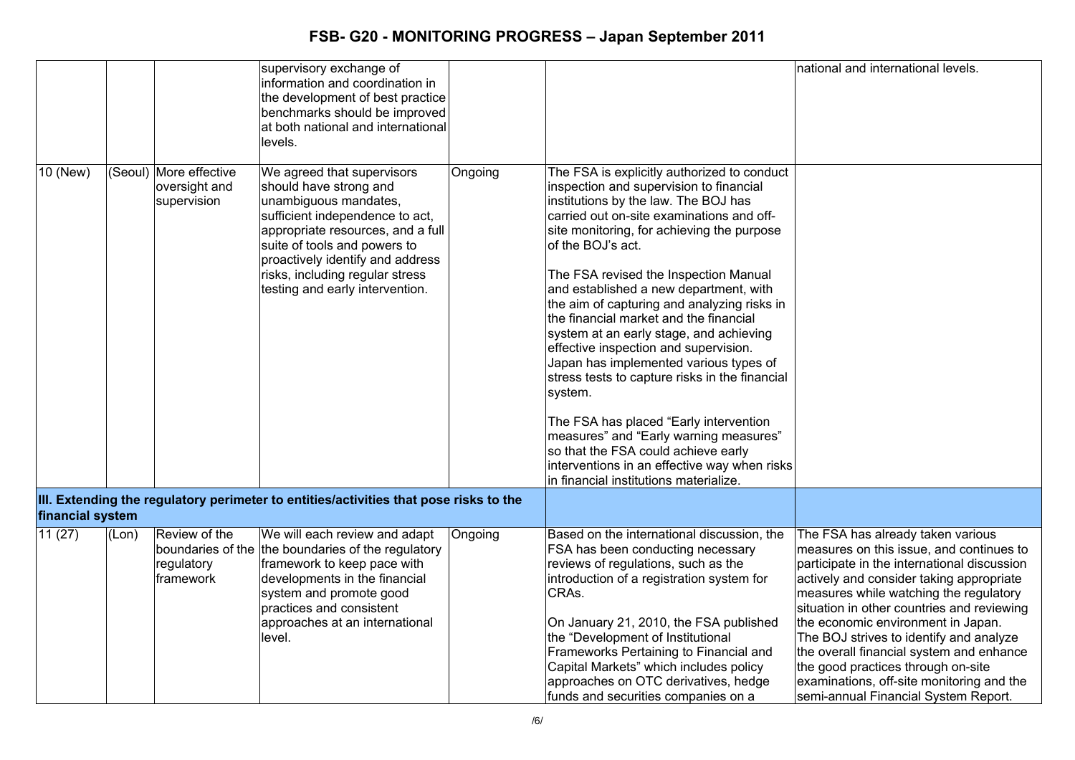|                  |       |                                                        | supervisory exchange of<br>information and coordination in<br>the development of best practice<br>benchmarks should be improved<br>at both national and international<br>levels.                                                                                                                |         |                                                                                                                                                                                                                                                                                                                                                                                                                                                                                                                                                                                                                                                                                                                                                                                                                                            | national and international levels.                                                                                                                                                                                                                                                                                                                                                                                                                                                                                       |
|------------------|-------|--------------------------------------------------------|-------------------------------------------------------------------------------------------------------------------------------------------------------------------------------------------------------------------------------------------------------------------------------------------------|---------|--------------------------------------------------------------------------------------------------------------------------------------------------------------------------------------------------------------------------------------------------------------------------------------------------------------------------------------------------------------------------------------------------------------------------------------------------------------------------------------------------------------------------------------------------------------------------------------------------------------------------------------------------------------------------------------------------------------------------------------------------------------------------------------------------------------------------------------------|--------------------------------------------------------------------------------------------------------------------------------------------------------------------------------------------------------------------------------------------------------------------------------------------------------------------------------------------------------------------------------------------------------------------------------------------------------------------------------------------------------------------------|
| 10 (New)         |       | (Seoul) More effective<br>oversight and<br>supervision | We agreed that supervisors<br>should have strong and<br>unambiguous mandates,<br>sufficient independence to act,<br>appropriate resources, and a full<br>suite of tools and powers to<br>proactively identify and address<br>risks, including regular stress<br>testing and early intervention. | Ongoing | The FSA is explicitly authorized to conduct<br>inspection and supervision to financial<br>institutions by the law. The BOJ has<br>carried out on-site examinations and off-<br>site monitoring, for achieving the purpose<br>of the BOJ's act.<br>The FSA revised the Inspection Manual<br>and established a new department, with<br>the aim of capturing and analyzing risks in<br>the financial market and the financial<br>system at an early stage, and achieving<br>effective inspection and supervision.<br>Japan has implemented various types of<br>stress tests to capture risks in the financial<br>system.<br>The FSA has placed "Early intervention<br>measures" and "Early warning measures"<br>so that the FSA could achieve early<br>interventions in an effective way when risks<br>in financial institutions materialize. |                                                                                                                                                                                                                                                                                                                                                                                                                                                                                                                          |
| financial system |       |                                                        | III. Extending the regulatory perimeter to entities/activities that pose risks to the                                                                                                                                                                                                           |         |                                                                                                                                                                                                                                                                                                                                                                                                                                                                                                                                                                                                                                                                                                                                                                                                                                            |                                                                                                                                                                                                                                                                                                                                                                                                                                                                                                                          |
| 11(27)           | (Lon) | Review of the<br>regulatory<br>framework               | We will each review and adapt<br>boundaries of the the boundaries of the regulatory<br>framework to keep pace with<br>developments in the financial<br>system and promote good<br>practices and consistent<br>approaches at an international<br>level.                                          | Ongoing | Based on the international discussion, the<br>FSA has been conducting necessary<br>reviews of regulations, such as the<br>introduction of a registration system for<br>CRAs.<br>On January 21, 2010, the FSA published<br>the "Development of Institutional<br>Frameworks Pertaining to Financial and<br>Capital Markets" which includes policy<br>approaches on OTC derivatives, hedge<br>funds and securities companies on a                                                                                                                                                                                                                                                                                                                                                                                                             | The FSA has already taken various<br>measures on this issue, and continues to<br>participate in the international discussion<br>actively and consider taking appropriate<br>measures while watching the regulatory<br>situation in other countries and reviewing<br>the economic environment in Japan.<br>The BOJ strives to identify and analyze<br>the overall financial system and enhance<br>the good practices through on-site<br>examinations, off-site monitoring and the<br>semi-annual Financial System Report. |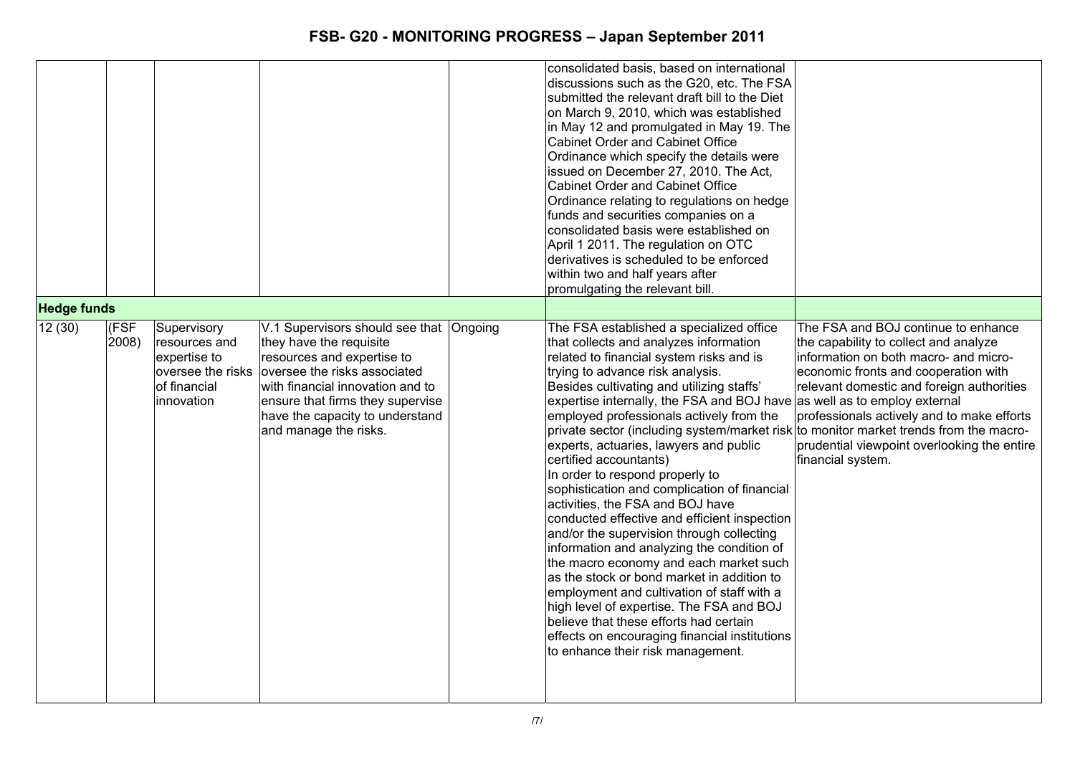|                    |               |                                                                                                 |                                                                                                                                                                                                                                                                      | consolidated basis, based on international<br>discussions such as the G20, etc. The FSA<br>submitted the relevant draft bill to the Diet<br>on March 9, 2010, which was established<br>in May 12 and promulgated in May 19. The<br><b>Cabinet Order and Cabinet Office</b><br>Ordinance which specify the details were<br>issued on December 27, 2010. The Act,<br>Cabinet Order and Cabinet Office<br>Ordinance relating to regulations on hedge<br>funds and securities companies on a<br>consolidated basis were established on<br>April 1 2011. The regulation on OTC<br>derivatives is scheduled to be enforced<br>within two and half years after<br>promulgating the relevant bill.                                                                                                                                                                                                                                                                                                                                                      |                                                                                                                                                                                                                                                                                                                                                                          |
|--------------------|---------------|-------------------------------------------------------------------------------------------------|----------------------------------------------------------------------------------------------------------------------------------------------------------------------------------------------------------------------------------------------------------------------|-------------------------------------------------------------------------------------------------------------------------------------------------------------------------------------------------------------------------------------------------------------------------------------------------------------------------------------------------------------------------------------------------------------------------------------------------------------------------------------------------------------------------------------------------------------------------------------------------------------------------------------------------------------------------------------------------------------------------------------------------------------------------------------------------------------------------------------------------------------------------------------------------------------------------------------------------------------------------------------------------------------------------------------------------|--------------------------------------------------------------------------------------------------------------------------------------------------------------------------------------------------------------------------------------------------------------------------------------------------------------------------------------------------------------------------|
| <b>Hedge funds</b> |               |                                                                                                 |                                                                                                                                                                                                                                                                      |                                                                                                                                                                                                                                                                                                                                                                                                                                                                                                                                                                                                                                                                                                                                                                                                                                                                                                                                                                                                                                                 |                                                                                                                                                                                                                                                                                                                                                                          |
| 12(30)             | (FSF<br>2008) | Supervisory<br>resources and<br>expertise to<br>oversee the risks<br>of financial<br>innovation | V.1 Supervisors should see that Ongoing<br>they have the requisite<br>resources and expertise to<br>oversee the risks associated<br>with financial innovation and to<br>ensure that firms they supervise<br>have the capacity to understand<br>and manage the risks. | The FSA established a specialized office<br>that collects and analyzes information<br>related to financial system risks and is<br>trying to advance risk analysis.<br>Besides cultivating and utilizing staffs'<br>expertise internally, the FSA and BOJ have as well as to employ external<br>employed professionals actively from the<br>private sector (including system/market risk<br>experts, actuaries, lawyers and public<br>certified accountants)<br>In order to respond properly to<br>sophistication and complication of financial<br>activities, the FSA and BOJ have<br>conducted effective and efficient inspection<br>and/or the supervision through collecting<br>information and analyzing the condition of<br>the macro economy and each market such<br>as the stock or bond market in addition to<br>employment and cultivation of staff with a<br>high level of expertise. The FSA and BOJ<br>believe that these efforts had certain<br>effects on encouraging financial institutions<br>to enhance their risk management. | The FSA and BOJ continue to enhance<br>the capability to collect and analyze<br>information on both macro- and micro-<br>economic fronts and cooperation with<br>relevant domestic and foreign authorities<br>professionals actively and to make efforts<br>to monitor market trends from the macro-<br>prudential viewpoint overlooking the entire<br>financial system. |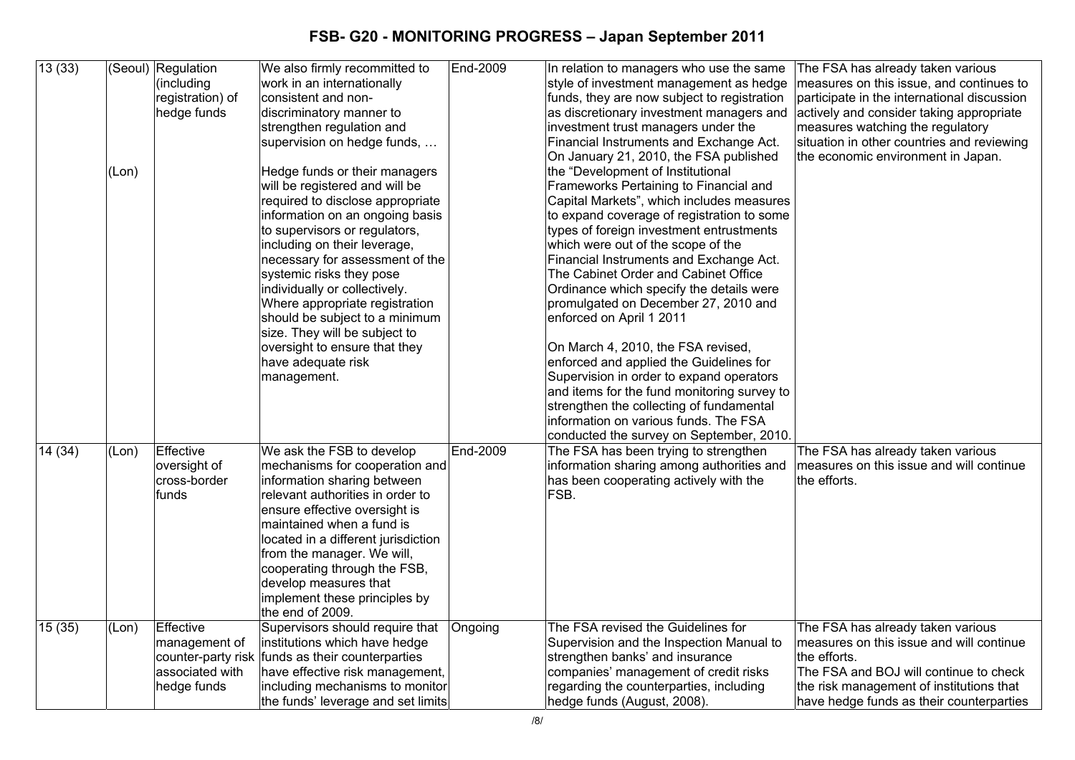| 13(33) | (Lon) | (Seoul) Regulation<br>(including<br>registration) of<br>hedge funds | We also firmly recommitted to<br>work in an internationally<br>consistent and non-<br>discriminatory manner to<br>strengthen regulation and<br>supervision on hedge funds,<br>Hedge funds or their managers<br>will be registered and will be<br>required to disclose appropriate<br>information on an ongoing basis<br>to supervisors or regulators,<br>including on their leverage,<br>necessary for assessment of the<br>systemic risks they pose<br>individually or collectively.<br>Where appropriate registration<br>should be subject to a minimum<br>size. They will be subject to<br>oversight to ensure that they<br>have adequate risk<br>management. | End-2009 | In relation to managers who use the same<br>style of investment management as hedge<br>funds, they are now subject to registration<br>as discretionary investment managers and<br>investment trust managers under the<br>Financial Instruments and Exchange Act.<br>On January 21, 2010, the FSA published<br>the "Development of Institutional<br>Frameworks Pertaining to Financial and<br>Capital Markets", which includes measures<br>to expand coverage of registration to some<br>types of foreign investment entrustments<br>which were out of the scope of the<br>Financial Instruments and Exchange Act.<br>The Cabinet Order and Cabinet Office<br>Ordinance which specify the details were<br>promulgated on December 27, 2010 and<br>enforced on April 1 2011<br>On March 4, 2010, the FSA revised,<br>enforced and applied the Guidelines for<br>Supervision in order to expand operators<br>and items for the fund monitoring survey to<br>strengthen the collecting of fundamental<br>information on various funds. The FSA | The FSA has already taken various<br>measures on this issue, and continues to<br>participate in the international discussion<br>actively and consider taking appropriate<br>measures watching the regulatory<br>situation in other countries and reviewing<br>the economic environment in Japan. |
|--------|-------|---------------------------------------------------------------------|------------------------------------------------------------------------------------------------------------------------------------------------------------------------------------------------------------------------------------------------------------------------------------------------------------------------------------------------------------------------------------------------------------------------------------------------------------------------------------------------------------------------------------------------------------------------------------------------------------------------------------------------------------------|----------|--------------------------------------------------------------------------------------------------------------------------------------------------------------------------------------------------------------------------------------------------------------------------------------------------------------------------------------------------------------------------------------------------------------------------------------------------------------------------------------------------------------------------------------------------------------------------------------------------------------------------------------------------------------------------------------------------------------------------------------------------------------------------------------------------------------------------------------------------------------------------------------------------------------------------------------------------------------------------------------------------------------------------------------------|--------------------------------------------------------------------------------------------------------------------------------------------------------------------------------------------------------------------------------------------------------------------------------------------------|
| 14(34) | (Lon) | Effective<br>oversight of<br>cross-border<br>funds                  | We ask the FSB to develop<br>mechanisms for cooperation and<br>information sharing between<br>relevant authorities in order to<br>ensure effective oversight is<br>maintained when a fund is<br>located in a different jurisdiction<br>from the manager. We will,<br>cooperating through the FSB,<br>develop measures that<br>implement these principles by<br>the end of 2009.                                                                                                                                                                                                                                                                                  | End-2009 | conducted the survey on September, 2010.<br>The FSA has been trying to strengthen<br>information sharing among authorities and<br>has been cooperating actively with the<br>FSB.                                                                                                                                                                                                                                                                                                                                                                                                                                                                                                                                                                                                                                                                                                                                                                                                                                                           | The FSA has already taken various<br>measures on this issue and will continue<br>the efforts.                                                                                                                                                                                                    |
| 15(35) | (Lon) | Effective<br>management of<br>associated with<br>hedge funds        | Supervisors should require that<br>institutions which have hedge<br>counter-party risk funds as their counterparties<br>have effective risk management,<br>including mechanisms to monitor<br>the funds' leverage and set limits                                                                                                                                                                                                                                                                                                                                                                                                                                 | Ongoing  | The FSA revised the Guidelines for<br>Supervision and the Inspection Manual to<br>strengthen banks' and insurance<br>companies' management of credit risks<br>regarding the counterparties, including<br>hedge funds (August, 2008).                                                                                                                                                                                                                                                                                                                                                                                                                                                                                                                                                                                                                                                                                                                                                                                                       | The FSA has already taken various<br>measures on this issue and will continue<br>the efforts.<br>The FSA and BOJ will continue to check<br>the risk management of institutions that<br>have hedge funds as their counterparties                                                                  |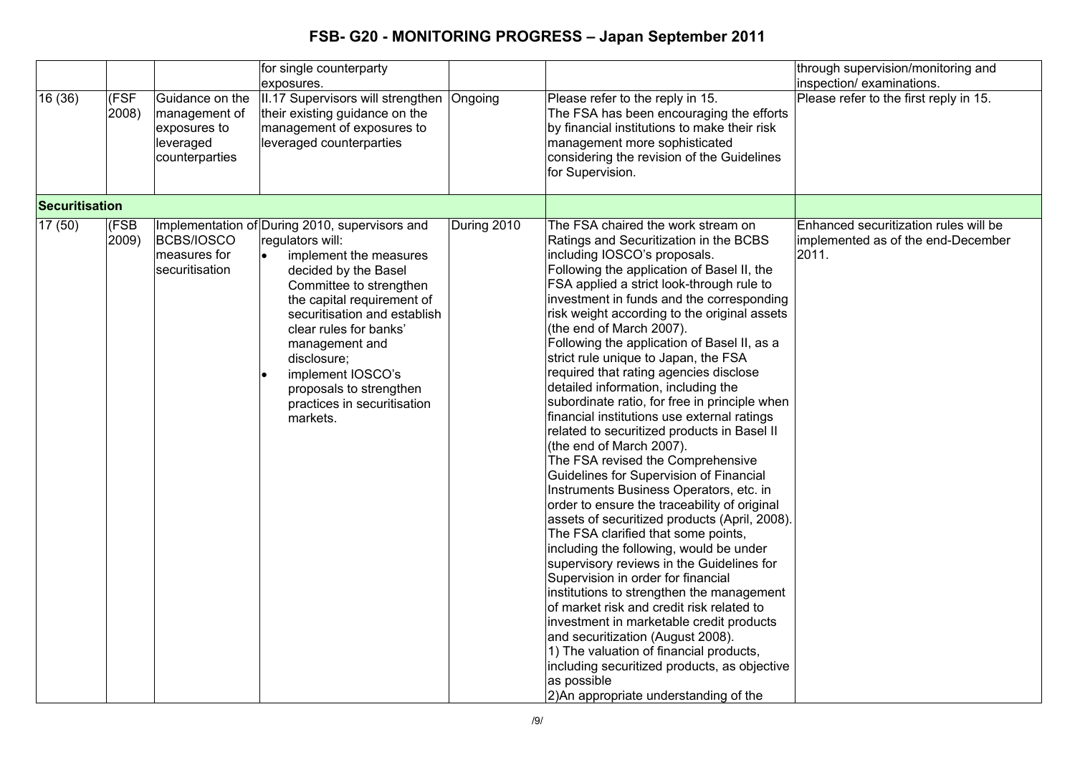|                       |               |                                                                                 | for single counterparty<br>exposures.                                                                                                                                                                                                                                                                                                                                            |             |                                                                                                                                                                                                                                                                                                                                                                                                                                                                                                                                                                                                                                                                                                                                                                                                                                                                                                                                                                                                                                                                                                                                                                                                                                                                                                                                                                                                                     | through supervision/monitoring and<br>inspection/examinations.                       |
|-----------------------|---------------|---------------------------------------------------------------------------------|----------------------------------------------------------------------------------------------------------------------------------------------------------------------------------------------------------------------------------------------------------------------------------------------------------------------------------------------------------------------------------|-------------|---------------------------------------------------------------------------------------------------------------------------------------------------------------------------------------------------------------------------------------------------------------------------------------------------------------------------------------------------------------------------------------------------------------------------------------------------------------------------------------------------------------------------------------------------------------------------------------------------------------------------------------------------------------------------------------------------------------------------------------------------------------------------------------------------------------------------------------------------------------------------------------------------------------------------------------------------------------------------------------------------------------------------------------------------------------------------------------------------------------------------------------------------------------------------------------------------------------------------------------------------------------------------------------------------------------------------------------------------------------------------------------------------------------------|--------------------------------------------------------------------------------------|
| 16 (36)               | (FSF<br>2008) | Guidance on the<br>management of<br>exposures to<br>leveraged<br>counterparties | II.17 Supervisors will strengthen<br>their existing guidance on the<br>management of exposures to<br>leveraged counterparties                                                                                                                                                                                                                                                    | Ongoing     | Please refer to the reply in 15.<br>The FSA has been encouraging the efforts<br>by financial institutions to make their risk<br>management more sophisticated<br>considering the revision of the Guidelines<br>for Supervision.                                                                                                                                                                                                                                                                                                                                                                                                                                                                                                                                                                                                                                                                                                                                                                                                                                                                                                                                                                                                                                                                                                                                                                                     | Please refer to the first reply in 15.                                               |
| <b>Securitisation</b> |               |                                                                                 |                                                                                                                                                                                                                                                                                                                                                                                  |             |                                                                                                                                                                                                                                                                                                                                                                                                                                                                                                                                                                                                                                                                                                                                                                                                                                                                                                                                                                                                                                                                                                                                                                                                                                                                                                                                                                                                                     |                                                                                      |
| 17 (50)               | (FSB<br>2009) | <b>BCBS/IOSCO</b><br>measures for<br>securitisation                             | Implementation of During 2010, supervisors and<br>regulators will:<br>$\bullet$<br>implement the measures<br>decided by the Basel<br>Committee to strengthen<br>the capital requirement of<br>securitisation and establish<br>clear rules for banks'<br>management and<br>disclosure;<br>implement IOSCO's<br>proposals to strengthen<br>practices in securitisation<br>markets. | During 2010 | The FSA chaired the work stream on<br>Ratings and Securitization in the BCBS<br>including IOSCO's proposals.<br>Following the application of Basel II, the<br>FSA applied a strict look-through rule to<br>investment in funds and the corresponding<br>risk weight according to the original assets<br>(the end of March 2007).<br>Following the application of Basel II, as a<br>strict rule unique to Japan, the FSA<br>required that rating agencies disclose<br>detailed information, including the<br>subordinate ratio, for free in principle when<br>financial institutions use external ratings<br>related to securitized products in Basel II<br>(the end of March 2007).<br>The FSA revised the Comprehensive<br>Guidelines for Supervision of Financial<br>Instruments Business Operators, etc. in<br>order to ensure the traceability of original<br>assets of securitized products (April, 2008).<br>The FSA clarified that some points,<br>including the following, would be under<br>supervisory reviews in the Guidelines for<br>Supervision in order for financial<br>institutions to strengthen the management<br>of market risk and credit risk related to<br>investment in marketable credit products<br>and securitization (August 2008).<br>1) The valuation of financial products,<br>including securitized products, as objective<br>as possible<br>2) An appropriate understanding of the | Enhanced securitization rules will be<br>implemented as of the end-December<br>2011. |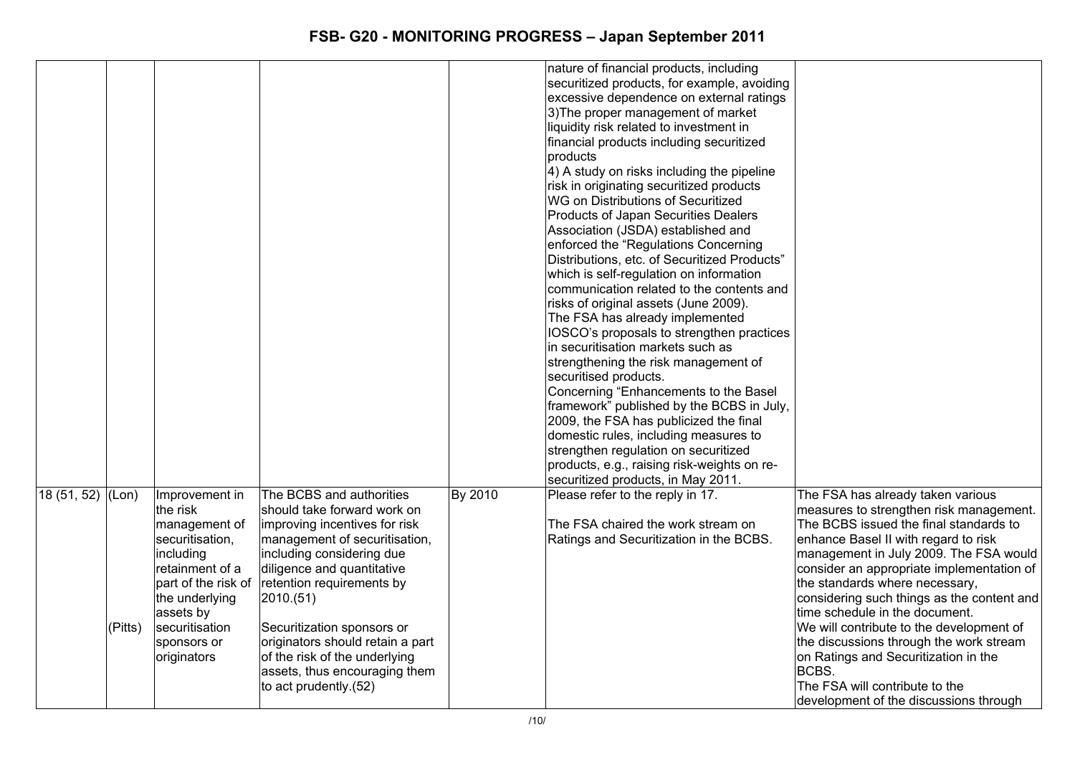|            |         |                                                                                                                                                       |                                                                                                                                                                                                                                                                                                 |         | nature of financial products, including<br>securitized products, for example, avoiding<br>excessive dependence on external ratings<br>3) The proper management of market<br>liquidity risk related to investment in<br>financial products including securitized<br>products<br>4) A study on risks including the pipeline<br>risk in originating securitized products<br>WG on Distributions of Securitized<br>Products of Japan Securities Dealers<br>Association (JSDA) established and<br>enforced the "Regulations Concerning<br>Distributions, etc. of Securitized Products"<br>which is self-regulation on information<br>communication related to the contents and<br>risks of original assets (June 2009).<br>The FSA has already implemented<br>IOSCO's proposals to strengthen practices<br>in securitisation markets such as<br>strengthening the risk management of<br>securitised products.<br>Concerning "Enhancements to the Basel |                                                                                                                                                                                                                                                                                                                                                                                                                                                                   |
|------------|---------|-------------------------------------------------------------------------------------------------------------------------------------------------------|-------------------------------------------------------------------------------------------------------------------------------------------------------------------------------------------------------------------------------------------------------------------------------------------------|---------|---------------------------------------------------------------------------------------------------------------------------------------------------------------------------------------------------------------------------------------------------------------------------------------------------------------------------------------------------------------------------------------------------------------------------------------------------------------------------------------------------------------------------------------------------------------------------------------------------------------------------------------------------------------------------------------------------------------------------------------------------------------------------------------------------------------------------------------------------------------------------------------------------------------------------------------------------|-------------------------------------------------------------------------------------------------------------------------------------------------------------------------------------------------------------------------------------------------------------------------------------------------------------------------------------------------------------------------------------------------------------------------------------------------------------------|
| 18(51, 52) | (Lon)   | Improvement in<br>the risk<br>management of                                                                                                           | The BCBS and authorities<br>should take forward work on<br>improving incentives for risk                                                                                                                                                                                                        | By 2010 | strengthen regulation on securitized<br>products, e.g., raising risk-weights on re-<br>securitized products, in May 2011.<br>Please refer to the reply in 17.<br>The FSA chaired the work stream on                                                                                                                                                                                                                                                                                                                                                                                                                                                                                                                                                                                                                                                                                                                                               | The FSA has already taken various<br>measures to strengthen risk management.<br>The BCBS issued the final standards to                                                                                                                                                                                                                                                                                                                                            |
|            | (Pitts) | securitisation,<br>including<br>retainment of a<br>part of the risk of<br>the underlying<br>assets by<br>securitisation<br>sponsors or<br>originators | management of securitisation,<br>including considering due<br>diligence and quantitative<br>retention requirements by<br>2010.(51)<br>Securitization sponsors or<br>originators should retain a part<br>of the risk of the underlying<br>assets, thus encouraging them<br>to act prudently.(52) |         | Ratings and Securitization in the BCBS.                                                                                                                                                                                                                                                                                                                                                                                                                                                                                                                                                                                                                                                                                                                                                                                                                                                                                                           | enhance Basel II with regard to risk<br>management in July 2009. The FSA would<br>consider an appropriate implementation of<br>the standards where necessary,<br>considering such things as the content and<br>time schedule in the document.<br>We will contribute to the development of<br>the discussions through the work stream<br>on Ratings and Securitization in the<br>BCBS.<br>The FSA will contribute to the<br>development of the discussions through |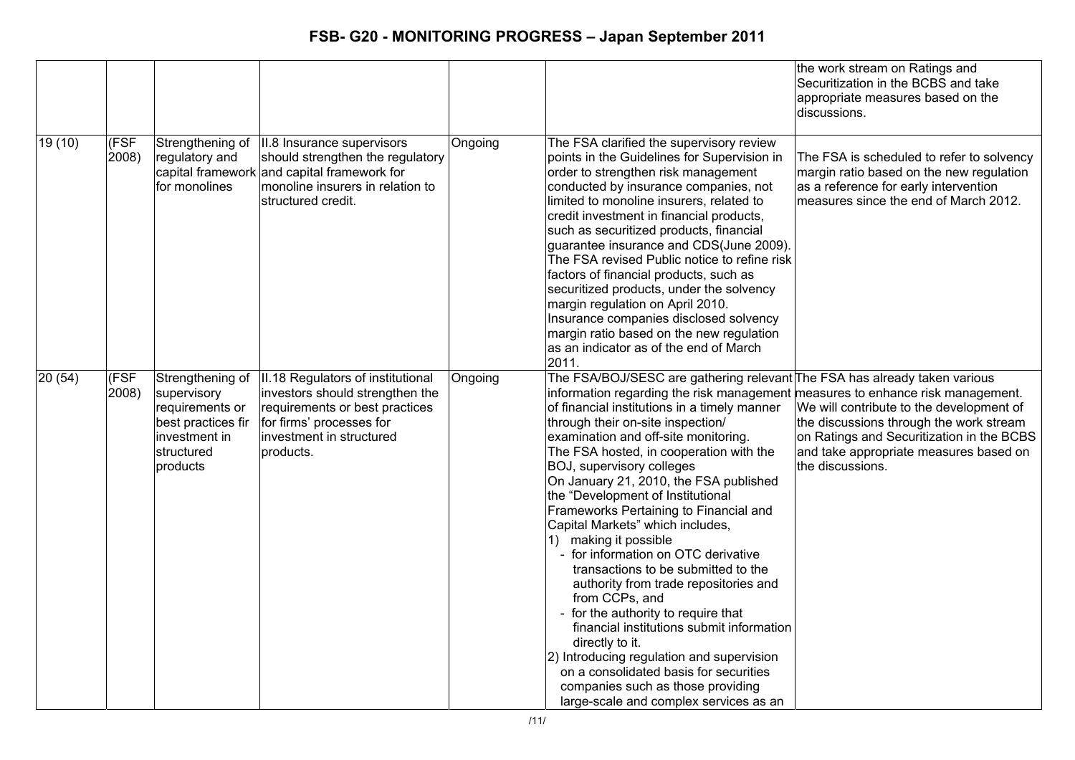|        |               |                                                                                                                     |                                                                                                                                                                             |         |                                                                                                                                                                                                                                                                                                                                                                                                                                                                                                                                                                                                                                                                                                                                                                                                                                                                                                                                                                          | the work stream on Ratings and<br>Securitization in the BCBS and take<br>appropriate measures based on the<br>discussions.                                                                     |
|--------|---------------|---------------------------------------------------------------------------------------------------------------------|-----------------------------------------------------------------------------------------------------------------------------------------------------------------------------|---------|--------------------------------------------------------------------------------------------------------------------------------------------------------------------------------------------------------------------------------------------------------------------------------------------------------------------------------------------------------------------------------------------------------------------------------------------------------------------------------------------------------------------------------------------------------------------------------------------------------------------------------------------------------------------------------------------------------------------------------------------------------------------------------------------------------------------------------------------------------------------------------------------------------------------------------------------------------------------------|------------------------------------------------------------------------------------------------------------------------------------------------------------------------------------------------|
| 19(10) | (FSF<br>2008) | Strengthening of<br>regulatory and<br>for monolines                                                                 | II.8 Insurance supervisors<br>should strengthen the regulatory<br>capital framework and capital framework for<br>monoline insurers in relation to<br>structured credit.     | Ongoing | The FSA clarified the supervisory review<br>points in the Guidelines for Supervision in<br>order to strengthen risk management<br>conducted by insurance companies, not<br>limited to monoline insurers, related to<br>credit investment in financial products,<br>such as securitized products, financial<br>guarantee insurance and CDS(June 2009).<br>The FSA revised Public notice to refine risk<br>factors of financial products, such as<br>securitized products, under the solvency<br>margin regulation on April 2010.<br>Insurance companies disclosed solvency<br>margin ratio based on the new regulation<br>as an indicator as of the end of March<br>2011.                                                                                                                                                                                                                                                                                                 | The FSA is scheduled to refer to solvency<br>margin ratio based on the new regulation<br>as a reference for early intervention<br>measures since the end of March 2012.                        |
| 20(54) | (FSF<br>2008) | Strengthening of<br>supervisory<br>requirements or<br>best practices fir<br>investment in<br>structured<br>products | II.18 Regulators of institutional<br>investors should strengthen the<br>requirements or best practices<br>for firms' processes for<br>investment in structured<br>products. | Ongoing | The FSA/BOJ/SESC are gathering relevant The FSA has already taken various<br>information regarding the risk management measures to enhance risk management.<br>of financial institutions in a timely manner<br>through their on-site inspection/<br>examination and off-site monitoring.<br>The FSA hosted, in cooperation with the<br>BOJ, supervisory colleges<br>On January 21, 2010, the FSA published<br>the "Development of Institutional<br>Frameworks Pertaining to Financial and<br>Capital Markets" which includes,<br>1) making it possible<br>for information on OTC derivative<br>transactions to be submitted to the<br>authority from trade repositories and<br>from CCPs, and<br>for the authority to require that<br>financial institutions submit information<br>directly to it.<br>2) Introducing regulation and supervision<br>on a consolidated basis for securities<br>companies such as those providing<br>large-scale and complex services as an | We will contribute to the development of<br>the discussions through the work stream<br>on Ratings and Securitization in the BCBS<br>and take appropriate measures based on<br>the discussions. |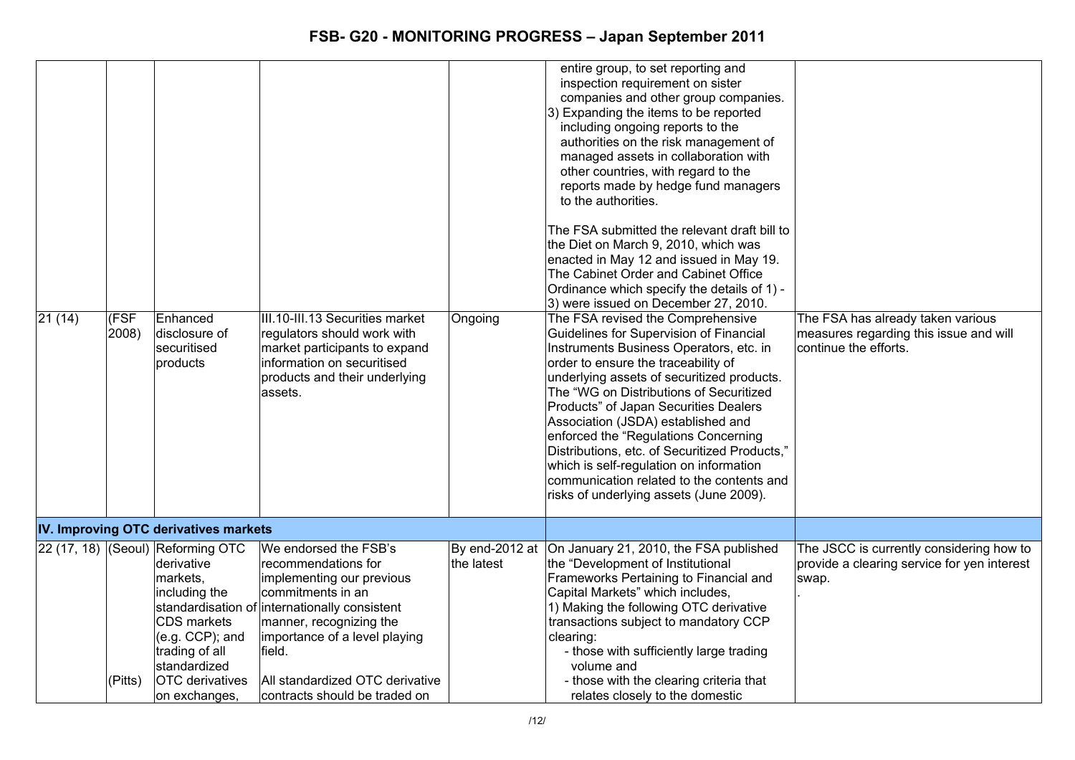| $\sqrt{21}$ (14) | (FSF<br>2008) | Enhanced<br>disclosure of<br>securitised<br>products                                                                                                                                           | III.10-III.13 Securities market<br>regulators should work with<br>market participants to expand<br>information on securitised<br>products and their underlying<br>assets.                                                                                                                  | Ongoing    | entire group, to set reporting and<br>inspection requirement on sister<br>companies and other group companies.<br>3) Expanding the items to be reported<br>including ongoing reports to the<br>authorities on the risk management of<br>managed assets in collaboration with<br>other countries, with regard to the<br>reports made by hedge fund managers<br>to the authorities.<br>The FSA submitted the relevant draft bill to<br>the Diet on March 9, 2010, which was<br>enacted in May 12 and issued in May 19.<br>The Cabinet Order and Cabinet Office<br>Ordinance which specify the details of 1) -<br>3) were issued on December 27, 2010.<br>The FSA revised the Comprehensive<br>Guidelines for Supervision of Financial<br>Instruments Business Operators, etc. in<br>order to ensure the traceability of<br>underlying assets of securitized products.<br>The "WG on Distributions of Securitized<br>Products" of Japan Securities Dealers<br>Association (JSDA) established and<br>enforced the "Regulations Concerning<br>Distributions, etc. of Securitized Products,"<br>which is self-regulation on information<br>communication related to the contents and<br>risks of underlying assets (June 2009). | The FSA has already taken various<br>measures regarding this issue and will<br>continue the efforts. |
|------------------|---------------|------------------------------------------------------------------------------------------------------------------------------------------------------------------------------------------------|--------------------------------------------------------------------------------------------------------------------------------------------------------------------------------------------------------------------------------------------------------------------------------------------|------------|---------------------------------------------------------------------------------------------------------------------------------------------------------------------------------------------------------------------------------------------------------------------------------------------------------------------------------------------------------------------------------------------------------------------------------------------------------------------------------------------------------------------------------------------------------------------------------------------------------------------------------------------------------------------------------------------------------------------------------------------------------------------------------------------------------------------------------------------------------------------------------------------------------------------------------------------------------------------------------------------------------------------------------------------------------------------------------------------------------------------------------------------------------------------------------------------------------------------------|------------------------------------------------------------------------------------------------------|
|                  |               | IV. Improving OTC derivatives markets                                                                                                                                                          |                                                                                                                                                                                                                                                                                            |            |                                                                                                                                                                                                                                                                                                                                                                                                                                                                                                                                                                                                                                                                                                                                                                                                                                                                                                                                                                                                                                                                                                                                                                                                                           |                                                                                                      |
|                  | (Pitts)       | 22 (17, 18) (Seoul) Reforming OTC<br>derivative<br>markets,<br>including the<br>CDS markets<br>$(e.g. CCP)$ ; and<br>trading of all<br>standardized<br><b>OTC</b> derivatives<br>on exchanges, | We endorsed the FSB's<br>recommendations for<br>implementing our previous<br>commitments in an<br>standardisation of internationally consistent<br>manner, recognizing the<br>importance of a level playing<br>field.<br>All standardized OTC derivative<br> contracts should be traded on | the latest | By end-2012 at  On January 21, 2010, the FSA published<br>the "Development of Institutional<br>Frameworks Pertaining to Financial and<br>Capital Markets" which includes,<br>1) Making the following OTC derivative<br>transactions subject to mandatory CCP<br>clearing:<br>- those with sufficiently large trading<br>volume and<br>- those with the clearing criteria that<br>relates closely to the domestic                                                                                                                                                                                                                                                                                                                                                                                                                                                                                                                                                                                                                                                                                                                                                                                                          | The JSCC is currently considering how to<br>provide a clearing service for yen interest<br>swap.     |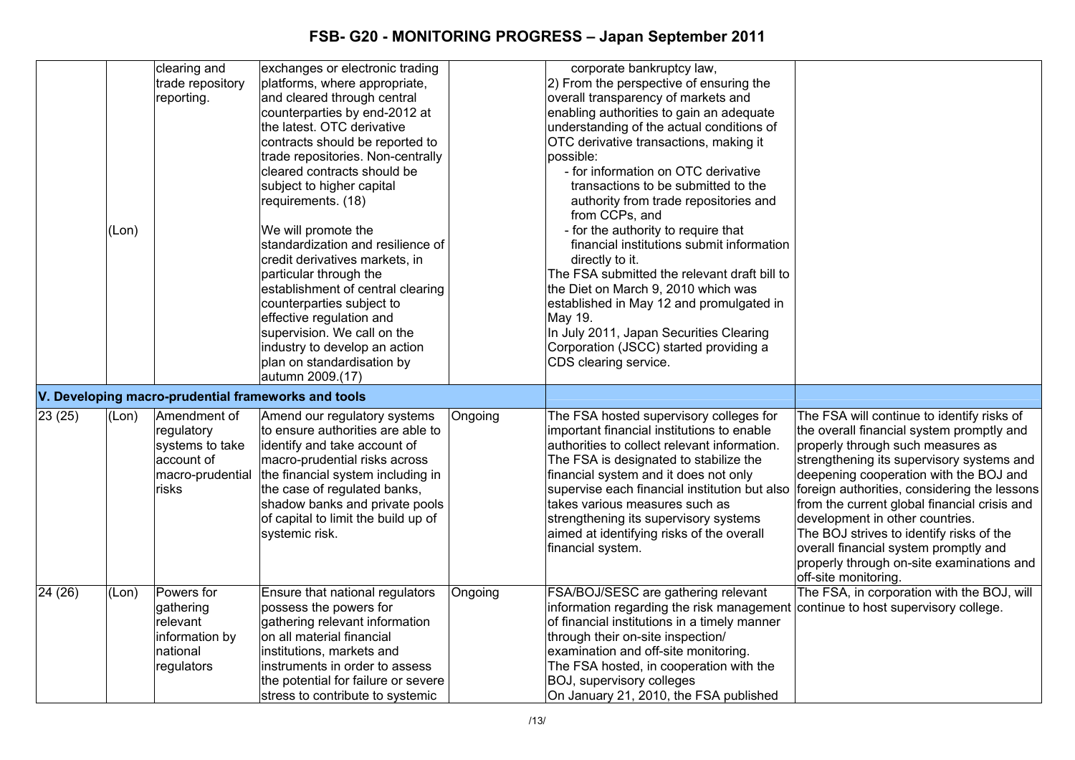|         | (Lon) | clearing and<br>trade repository<br>reporting.                                           | exchanges or electronic trading<br>platforms, where appropriate,<br>and cleared through central<br>counterparties by end-2012 at<br>the latest. OTC derivative<br>contracts should be reported to<br>trade repositories. Non-centrally<br>cleared contracts should be<br>subject to higher capital<br>requirements. (18)<br>We will promote the<br>standardization and resilience of<br>credit derivatives markets, in<br>particular through the<br>establishment of central clearing<br>counterparties subject to<br>effective regulation and<br>supervision. We call on the<br>industry to develop an action<br>plan on standardisation by<br>autumn 2009.(17) |         | corporate bankruptcy law,<br>2) From the perspective of ensuring the<br>overall transparency of markets and<br>enabling authorities to gain an adequate<br>understanding of the actual conditions of<br>OTC derivative transactions, making it<br>possible:<br>- for information on OTC derivative<br>transactions to be submitted to the<br>authority from trade repositories and<br>from CCPs, and<br>- for the authority to require that<br>financial institutions submit information<br>directly to it.<br>The FSA submitted the relevant draft bill to<br>the Diet on March 9, 2010 which was<br>established in May 12 and promulgated in<br>May 19.<br>In July 2011, Japan Securities Clearing<br>Corporation (JSCC) started providing a<br>CDS clearing service. |                                                                                                                                                                                                                                                                                                                                                                                                                                                                                                                  |
|---------|-------|------------------------------------------------------------------------------------------|------------------------------------------------------------------------------------------------------------------------------------------------------------------------------------------------------------------------------------------------------------------------------------------------------------------------------------------------------------------------------------------------------------------------------------------------------------------------------------------------------------------------------------------------------------------------------------------------------------------------------------------------------------------|---------|-------------------------------------------------------------------------------------------------------------------------------------------------------------------------------------------------------------------------------------------------------------------------------------------------------------------------------------------------------------------------------------------------------------------------------------------------------------------------------------------------------------------------------------------------------------------------------------------------------------------------------------------------------------------------------------------------------------------------------------------------------------------------|------------------------------------------------------------------------------------------------------------------------------------------------------------------------------------------------------------------------------------------------------------------------------------------------------------------------------------------------------------------------------------------------------------------------------------------------------------------------------------------------------------------|
|         |       |                                                                                          | V. Developing macro-prudential frameworks and tools                                                                                                                                                                                                                                                                                                                                                                                                                                                                                                                                                                                                              |         |                                                                                                                                                                                                                                                                                                                                                                                                                                                                                                                                                                                                                                                                                                                                                                         |                                                                                                                                                                                                                                                                                                                                                                                                                                                                                                                  |
| 23(25)  | (Lon) | Amendment of<br>regulatory<br>systems to take<br>account of<br>macro-prudential<br>risks | Amend our regulatory systems<br>to ensure authorities are able to<br>identify and take account of<br>macro-prudential risks across<br>the financial system including in<br>the case of regulated banks,<br>shadow banks and private pools<br>of capital to limit the build up of<br>systemic risk.                                                                                                                                                                                                                                                                                                                                                               | Ongoing | The FSA hosted supervisory colleges for<br>important financial institutions to enable<br>authorities to collect relevant information.<br>The FSA is designated to stabilize the<br>financial system and it does not only<br>supervise each financial institution but also<br>takes various measures such as<br>strengthening its supervisory systems<br>aimed at identifying risks of the overall<br>financial system.                                                                                                                                                                                                                                                                                                                                                  | The FSA will continue to identify risks of<br>the overall financial system promptly and<br>properly through such measures as<br>strengthening its supervisory systems and<br>deepening cooperation with the BOJ and<br>foreign authorities, considering the lessons<br>from the current global financial crisis and<br>development in other countries.<br>The BOJ strives to identify risks of the<br>overall financial system promptly and<br>properly through on-site examinations and<br>off-site monitoring. |
| 24 (26) | (Lon) | Powers for<br>gathering<br>relevant<br>information by<br>national<br>regulators          | Ensure that national regulators<br>possess the powers for<br>gathering relevant information<br>on all material financial<br>institutions, markets and<br>instruments in order to assess<br>the potential for failure or severe<br>stress to contribute to systemic                                                                                                                                                                                                                                                                                                                                                                                               | Ongoing | FSA/BOJ/SESC are gathering relevant<br>information regarding the risk management<br>of financial institutions in a timely manner<br>through their on-site inspection/<br>examination and off-site monitoring.<br>The FSA hosted, in cooperation with the<br>BOJ, supervisory colleges<br>On January 21, 2010, the FSA published                                                                                                                                                                                                                                                                                                                                                                                                                                         | The FSA, in corporation with the BOJ, will<br>continue to host supervisory college.                                                                                                                                                                                                                                                                                                                                                                                                                              |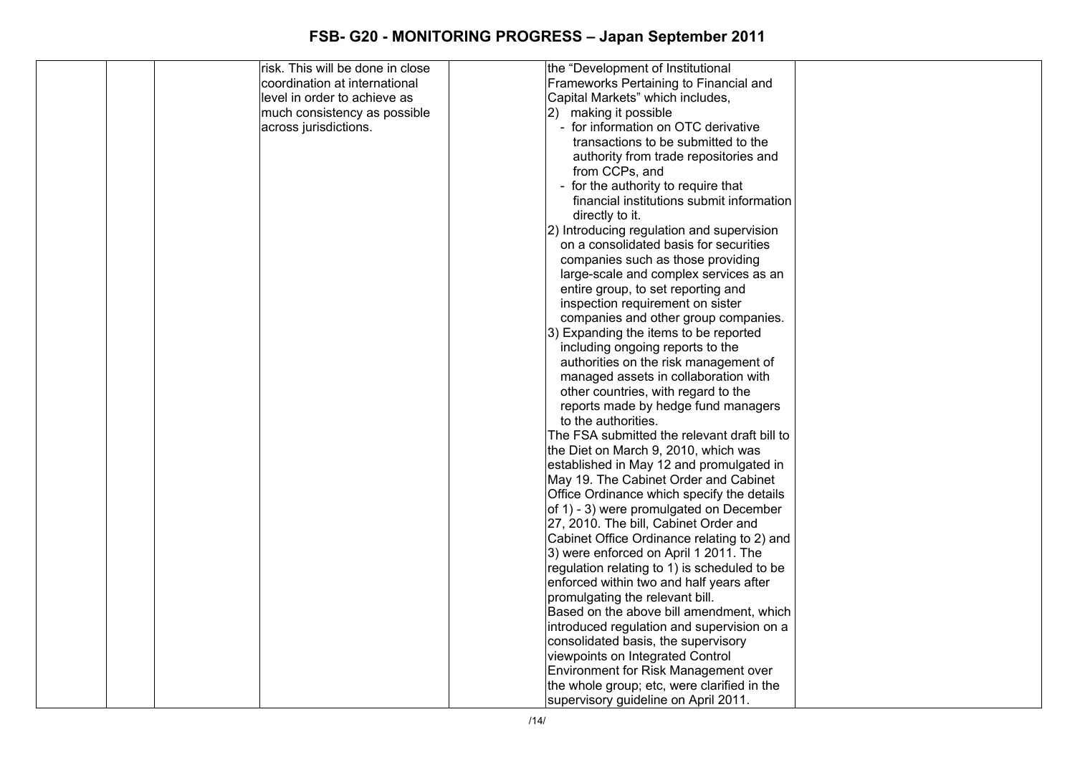| risk. This will be done in close | the "Development of Institutional            |  |
|----------------------------------|----------------------------------------------|--|
| coordination at international    | Frameworks Pertaining to Financial and       |  |
| level in order to achieve as     | Capital Markets" which includes,             |  |
| much consistency as possible     | 2) making it possible                        |  |
| across jurisdictions.            | - for information on OTC derivative          |  |
|                                  | transactions to be submitted to the          |  |
|                                  | authority from trade repositories and        |  |
|                                  | from CCPs, and                               |  |
|                                  | - for the authority to require that          |  |
|                                  | financial institutions submit information    |  |
|                                  | directly to it.                              |  |
|                                  | 2) Introducing regulation and supervision    |  |
|                                  | on a consolidated basis for securities       |  |
|                                  | companies such as those providing            |  |
|                                  | large-scale and complex services as an       |  |
|                                  | entire group, to set reporting and           |  |
|                                  | inspection requirement on sister             |  |
|                                  | companies and other group companies.         |  |
|                                  | 3) Expanding the items to be reported        |  |
|                                  | including ongoing reports to the             |  |
|                                  | authorities on the risk management of        |  |
|                                  | managed assets in collaboration with         |  |
|                                  | other countries, with regard to the          |  |
|                                  | reports made by hedge fund managers          |  |
|                                  | to the authorities.                          |  |
|                                  | The FSA submitted the relevant draft bill to |  |
|                                  | the Diet on March 9, 2010, which was         |  |
|                                  | established in May 12 and promulgated in     |  |
|                                  | May 19. The Cabinet Order and Cabinet        |  |
|                                  | Office Ordinance which specify the details   |  |
|                                  | of 1) - 3) were promulgated on December      |  |
|                                  | 27, 2010. The bill, Cabinet Order and        |  |
|                                  | Cabinet Office Ordinance relating to 2) and  |  |
|                                  | 3) were enforced on April 1 2011. The        |  |
|                                  | regulation relating to 1) is scheduled to be |  |
|                                  | enforced within two and half years after     |  |
|                                  | promulgating the relevant bill.              |  |
|                                  | Based on the above bill amendment, which     |  |
|                                  | introduced regulation and supervision on a   |  |
|                                  | consolidated basis, the supervisory          |  |
|                                  | viewpoints on Integrated Control             |  |
|                                  | Environment for Risk Management over         |  |
|                                  | the whole group; etc, were clarified in the  |  |
|                                  | supervisory guideline on April 2011.         |  |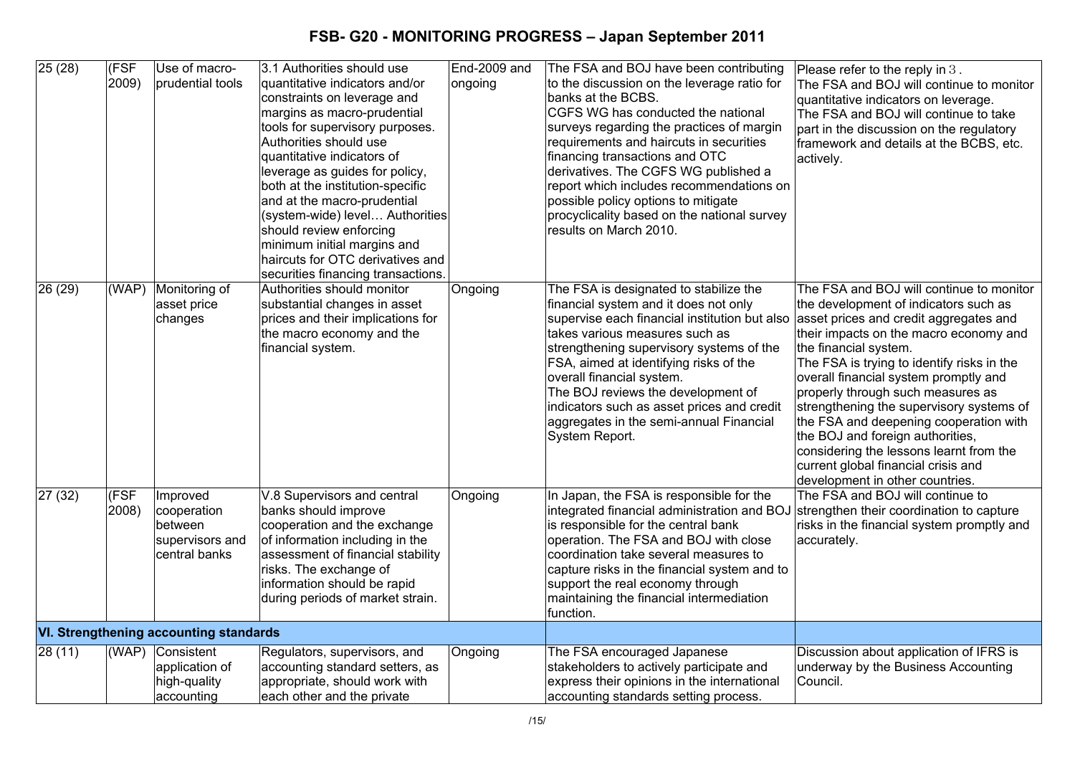| 25(28)  | (FSF<br>2009) | Use of macro-<br>prudential tools                                             | 3.1 Authorities should use<br>quantitative indicators and/or<br>constraints on leverage and<br>margins as macro-prudential<br>tools for supervisory purposes.<br>Authorities should use<br>quantitative indicators of<br>leverage as guides for policy,<br>both at the institution-specific<br>and at the macro-prudential<br>(system-wide) level Authorities<br>should review enforcing<br>minimum initial margins and<br>haircuts for OTC derivatives and<br>securities financing transactions. | End-2009 and<br>ongoing | The FSA and BOJ have been contributing<br>to the discussion on the leverage ratio for<br>banks at the BCBS.<br>CGFS WG has conducted the national<br>surveys regarding the practices of margin<br>requirements and haircuts in securities<br>financing transactions and OTC<br>derivatives. The CGFS WG published a<br>report which includes recommendations on<br>possible policy options to mitigate<br>procyclicality based on the national survey<br>results on March 2010. | Please refer to the reply in 3.<br>The FSA and BOJ will continue to monitor<br>quantitative indicators on leverage.<br>The FSA and BOJ will continue to take<br>part in the discussion on the regulatory<br>framework and details at the BCBS, etc.<br>actively.                                                                                                                                                                                                                                                                                                          |
|---------|---------------|-------------------------------------------------------------------------------|---------------------------------------------------------------------------------------------------------------------------------------------------------------------------------------------------------------------------------------------------------------------------------------------------------------------------------------------------------------------------------------------------------------------------------------------------------------------------------------------------|-------------------------|---------------------------------------------------------------------------------------------------------------------------------------------------------------------------------------------------------------------------------------------------------------------------------------------------------------------------------------------------------------------------------------------------------------------------------------------------------------------------------|---------------------------------------------------------------------------------------------------------------------------------------------------------------------------------------------------------------------------------------------------------------------------------------------------------------------------------------------------------------------------------------------------------------------------------------------------------------------------------------------------------------------------------------------------------------------------|
| 26 (29) | (WAP)         | Monitoring of<br>asset price<br>changes                                       | Authorities should monitor<br>substantial changes in asset<br>prices and their implications for<br>the macro economy and the<br>financial system.                                                                                                                                                                                                                                                                                                                                                 | Ongoing                 | The FSA is designated to stabilize the<br>financial system and it does not only<br>supervise each financial institution but also<br>takes various measures such as<br>strengthening supervisory systems of the<br>FSA, aimed at identifying risks of the<br>overall financial system.<br>The BOJ reviews the development of<br>indicators such as asset prices and credit<br>aggregates in the semi-annual Financial<br>System Report.                                          | The FSA and BOJ will continue to monitor<br>the development of indicators such as<br>asset prices and credit aggregates and<br>their impacts on the macro economy and<br>the financial system.<br>The FSA is trying to identify risks in the<br>overall financial system promptly and<br>properly through such measures as<br>strengthening the supervisory systems of<br>the FSA and deepening cooperation with<br>the BOJ and foreign authorities,<br>considering the lessons learnt from the<br>current global financial crisis and<br>development in other countries. |
| 27 (32) | (FSF<br>2008) | Improved<br>cooperation<br><b>between</b><br>supervisors and<br>central banks | V.8 Supervisors and central<br>banks should improve<br>cooperation and the exchange<br>of information including in the<br>assessment of financial stability<br>risks. The exchange of<br>information should be rapid<br>during periods of market strain.                                                                                                                                                                                                                                          | Ongoing                 | In Japan, the FSA is responsible for the<br>integrated financial administration and BOJ<br>is responsible for the central bank<br>operation. The FSA and BOJ with close<br>coordination take several measures to<br>capture risks in the financial system and to<br>support the real economy through<br>maintaining the financial intermediation<br>function.                                                                                                                   | The FSA and BOJ will continue to<br>strengthen their coordination to capture<br>risks in the financial system promptly and<br>accurately.                                                                                                                                                                                                                                                                                                                                                                                                                                 |
|         |               | <b>VI. Strengthening accounting standards</b>                                 |                                                                                                                                                                                                                                                                                                                                                                                                                                                                                                   |                         |                                                                                                                                                                                                                                                                                                                                                                                                                                                                                 |                                                                                                                                                                                                                                                                                                                                                                                                                                                                                                                                                                           |
| 28(11)  |               | (WAP) Consistent<br>application of<br>high-quality<br>accounting              | Regulators, supervisors, and<br>accounting standard setters, as<br>appropriate, should work with<br>each other and the private                                                                                                                                                                                                                                                                                                                                                                    | Ongoing                 | The FSA encouraged Japanese<br>stakeholders to actively participate and<br>express their opinions in the international<br>accounting standards setting process.                                                                                                                                                                                                                                                                                                                 | Discussion about application of IFRS is<br>underway by the Business Accounting<br>Council.                                                                                                                                                                                                                                                                                                                                                                                                                                                                                |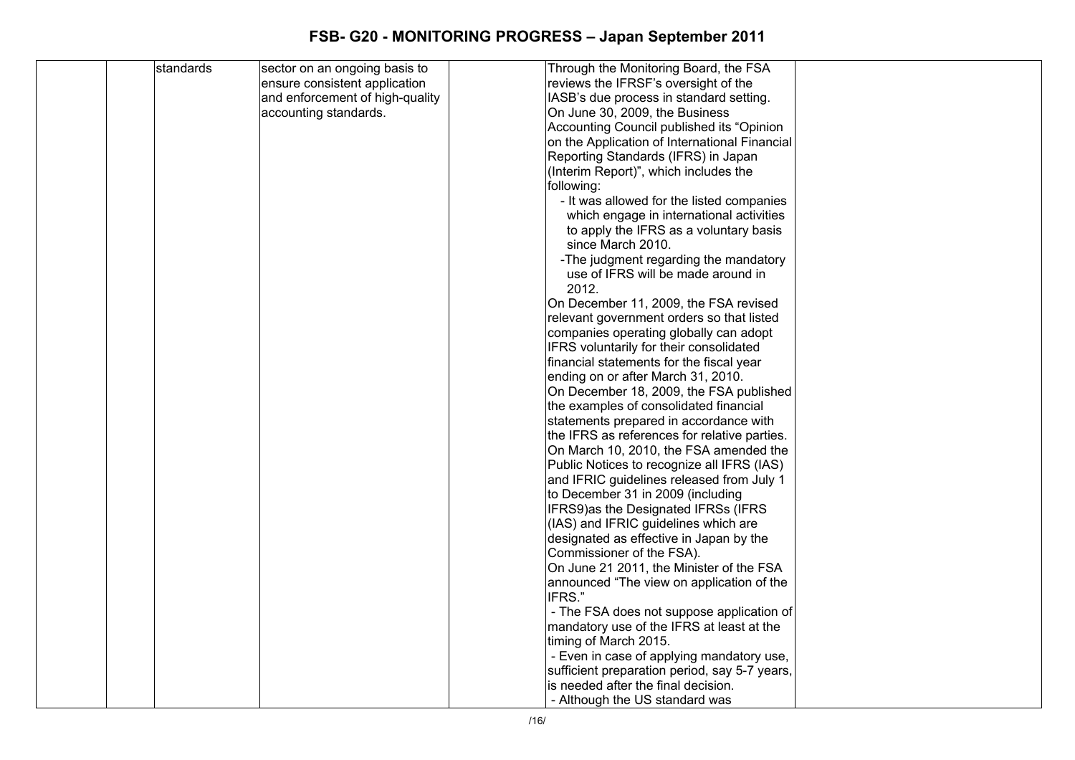| standards | sector on an ongoing basis to   | Through the Monitoring Board, the FSA                                 |
|-----------|---------------------------------|-----------------------------------------------------------------------|
|           | ensure consistent application   | reviews the IFRSF's oversight of the                                  |
|           | and enforcement of high-quality | IASB's due process in standard setting.                               |
|           | accounting standards.           | On June 30, 2009, the Business                                        |
|           |                                 | Accounting Council published its "Opinion                             |
|           |                                 | on the Application of International Financial                         |
|           |                                 | Reporting Standards (IFRS) in Japan                                   |
|           |                                 | (Interim Report)", which includes the                                 |
|           |                                 | following:                                                            |
|           |                                 | - It was allowed for the listed companies                             |
|           |                                 | which engage in international activities                              |
|           |                                 | to apply the IFRS as a voluntary basis                                |
|           |                                 | since March 2010.                                                     |
|           |                                 | -The judgment regarding the mandatory                                 |
|           |                                 | use of IFRS will be made around in                                    |
|           |                                 | 2012.                                                                 |
|           |                                 | On December 11, 2009, the FSA revised                                 |
|           |                                 | relevant government orders so that listed                             |
|           |                                 | companies operating globally can adopt                                |
|           |                                 | IFRS voluntarily for their consolidated                               |
|           |                                 | financial statements for the fiscal year                              |
|           |                                 | ending on or after March 31, 2010.                                    |
|           |                                 | On December 18, 2009, the FSA published                               |
|           |                                 | the examples of consolidated financial                                |
|           |                                 | statements prepared in accordance with                                |
|           |                                 | the IFRS as references for relative parties.                          |
|           |                                 | On March 10, 2010, the FSA amended the                                |
|           |                                 | Public Notices to recognize all IFRS (IAS)                            |
|           |                                 | and IFRIC guidelines released from July 1                             |
|           |                                 | to December 31 in 2009 (including                                     |
|           |                                 | IFRS9)as the Designated IFRSs (IFRS                                   |
|           |                                 | (IAS) and IFRIC guidelines which are                                  |
|           |                                 | designated as effective in Japan by the                               |
|           |                                 | Commissioner of the FSA).<br>On June 21 2011, the Minister of the FSA |
|           |                                 |                                                                       |
|           |                                 | announced "The view on application of the<br>IFRS."                   |
|           |                                 | - The FSA does not suppose application of                             |
|           |                                 | mandatory use of the IFRS at least at the                             |
|           |                                 | timing of March 2015.                                                 |
|           |                                 | - Even in case of applying mandatory use,                             |
|           |                                 | sufficient preparation period, say 5-7 years,                         |
|           |                                 | is needed after the final decision.                                   |
|           |                                 | - Although the US standard was                                        |
|           |                                 |                                                                       |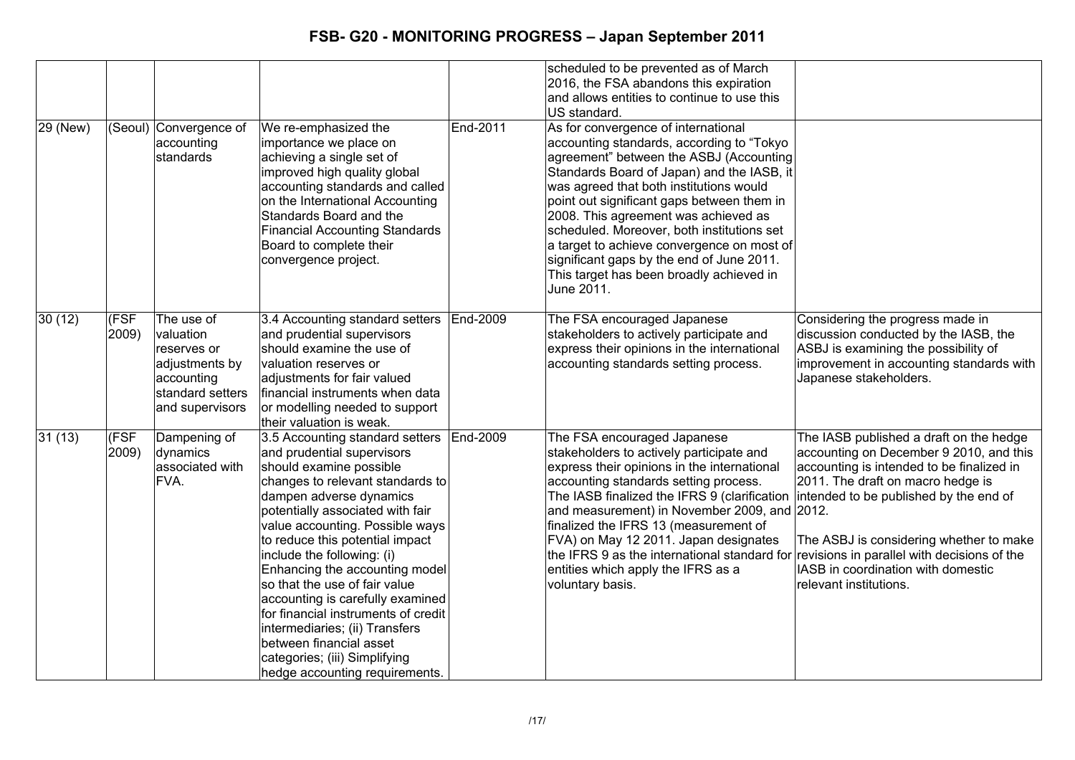| 29 (New) |               | (Seoul) Convergence of<br>accounting                                                                          | We re-emphasized the<br>importance we place on                                                                                                                                                                                                                                                                                                                                                                                                                                                                                                                                | End-2011 | scheduled to be prevented as of March<br>2016, the FSA abandons this expiration<br>and allows entities to continue to use this<br>US standard.<br>As for convergence of international<br>accounting standards, according to "Tokyo"                                                                                                                                                                                                                                                                |                                                                                                                                                                                                                                                                                                                                |
|----------|---------------|---------------------------------------------------------------------------------------------------------------|-------------------------------------------------------------------------------------------------------------------------------------------------------------------------------------------------------------------------------------------------------------------------------------------------------------------------------------------------------------------------------------------------------------------------------------------------------------------------------------------------------------------------------------------------------------------------------|----------|----------------------------------------------------------------------------------------------------------------------------------------------------------------------------------------------------------------------------------------------------------------------------------------------------------------------------------------------------------------------------------------------------------------------------------------------------------------------------------------------------|--------------------------------------------------------------------------------------------------------------------------------------------------------------------------------------------------------------------------------------------------------------------------------------------------------------------------------|
|          |               | standards                                                                                                     | achieving a single set of<br>improved high quality global<br>accounting standards and called<br>on the International Accounting<br>Standards Board and the<br><b>Financial Accounting Standards</b><br>Board to complete their<br>convergence project.                                                                                                                                                                                                                                                                                                                        |          | agreement" between the ASBJ (Accounting<br>Standards Board of Japan) and the IASB, it<br>was agreed that both institutions would<br>point out significant gaps between them in<br>2008. This agreement was achieved as<br>scheduled. Moreover, both institutions set<br>a target to achieve convergence on most of<br>significant gaps by the end of June 2011.<br>This target has been broadly achieved in<br>June 2011.                                                                          |                                                                                                                                                                                                                                                                                                                                |
| 30(12)   | (FSF<br>2009) | The use of<br>valuation<br>reserves or<br>adjustments by<br>accounting<br>standard setters<br>and supervisors | 3.4 Accounting standard setters<br>and prudential supervisors<br>should examine the use of<br>valuation reserves or<br>adjustments for fair valued<br>financial instruments when data<br>or modelling needed to support<br>their valuation is weak.                                                                                                                                                                                                                                                                                                                           | End-2009 | The FSA encouraged Japanese<br>stakeholders to actively participate and<br>express their opinions in the international<br>accounting standards setting process.                                                                                                                                                                                                                                                                                                                                    | Considering the progress made in<br>discussion conducted by the IASB, the<br>ASBJ is examining the possibility of<br>improvement in accounting standards with<br>Japanese stakeholders.                                                                                                                                        |
| 31(13)   | (FSF<br>2009) | Dampening of<br>dynamics<br>associated with<br>FVA.                                                           | 3.5 Accounting standard setters<br>and prudential supervisors<br>should examine possible<br>changes to relevant standards to<br>dampen adverse dynamics<br>potentially associated with fair<br>value accounting. Possible ways<br>to reduce this potential impact<br>include the following: (i)<br>Enhancing the accounting model<br>so that the use of fair value<br>accounting is carefully examined<br>for financial instruments of credit<br>intermediaries; (ii) Transfers<br>between financial asset<br>categories; (iii) Simplifying<br>hedge accounting requirements. | End-2009 | The FSA encouraged Japanese<br>stakeholders to actively participate and<br>express their opinions in the international<br>accounting standards setting process.<br>The IASB finalized the IFRS 9 (clarification intended to be published by the end of<br>and measurement) in November 2009, and 2012.<br>finalized the IFRS 13 (measurement of<br>FVA) on May 12 2011. Japan designates<br>the IFRS 9 as the international standard for<br>entities which apply the IFRS as a<br>voluntary basis. | The IASB published a draft on the hedge<br>accounting on December 9 2010, and this<br>accounting is intended to be finalized in<br>2011. The draft on macro hedge is<br>The ASBJ is considering whether to make<br>revisions in parallel with decisions of the<br>IASB in coordination with domestic<br>relevant institutions. |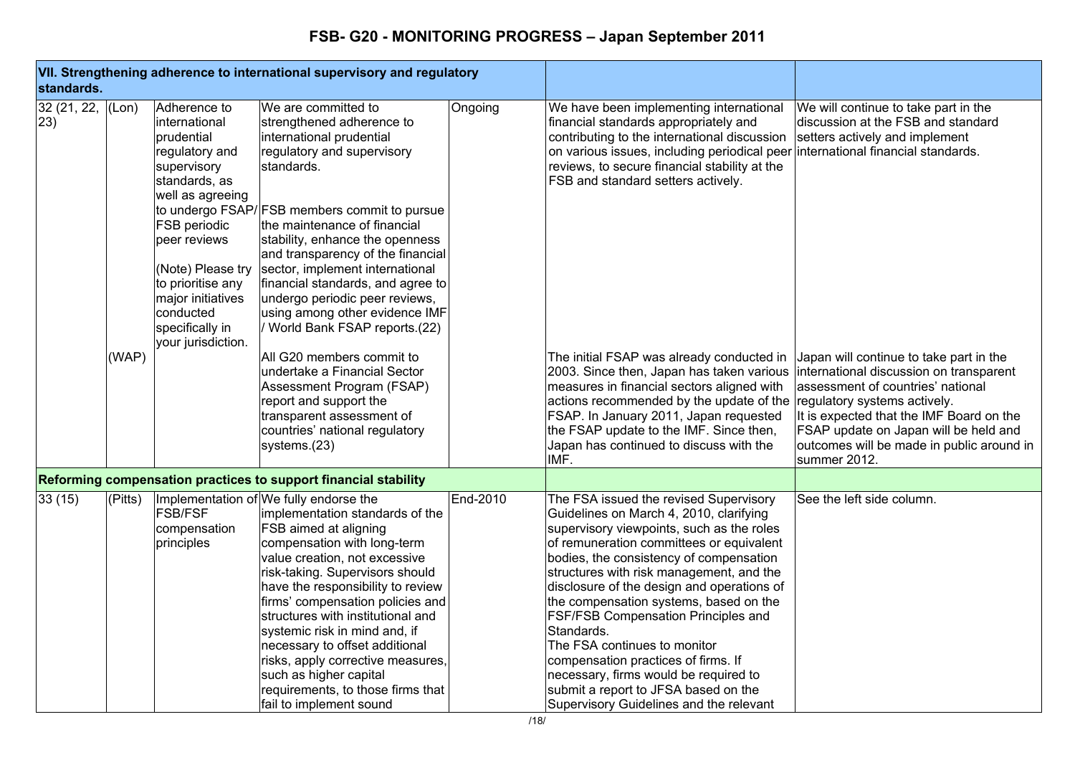| standards.        |         |                                                                                                                                                                                                                                                                        | VII. Strengthening adherence to international supervisory and regulatory                                                                                                                                                                                                                                                                                                                                                                                                                                              |          |                                                                                                                                                                                                                                                                                                                                                                                                                                                                                                                                                                                                                          |                                                                                                                                                                                                                                                                                                           |
|-------------------|---------|------------------------------------------------------------------------------------------------------------------------------------------------------------------------------------------------------------------------------------------------------------------------|-----------------------------------------------------------------------------------------------------------------------------------------------------------------------------------------------------------------------------------------------------------------------------------------------------------------------------------------------------------------------------------------------------------------------------------------------------------------------------------------------------------------------|----------|--------------------------------------------------------------------------------------------------------------------------------------------------------------------------------------------------------------------------------------------------------------------------------------------------------------------------------------------------------------------------------------------------------------------------------------------------------------------------------------------------------------------------------------------------------------------------------------------------------------------------|-----------------------------------------------------------------------------------------------------------------------------------------------------------------------------------------------------------------------------------------------------------------------------------------------------------|
| 32(21, 22,<br>23) | (Lon)   | Adherence to<br>international<br>prudential<br>regulatory and<br>supervisory<br>standards, as<br>well as agreeing<br>FSB periodic<br>peer reviews<br>(Note) Please try<br>to prioritise any<br>major initiatives<br>conducted<br>specifically in<br>your jurisdiction. | We are committed to<br>strengthened adherence to<br>international prudential<br>regulatory and supervisory<br>standards.<br>to undergo FSAP/FSB members commit to pursue<br>the maintenance of financial<br>stability, enhance the openness<br>and transparency of the financial<br>sector, implement international<br>financial standards, and agree to<br>undergo periodic peer reviews,<br>using among other evidence IMF<br>World Bank FSAP reports.(22)                                                          | Ongoing  | We have been implementing international<br>financial standards appropriately and<br>contributing to the international discussion<br>on various issues, including periodical peer<br>reviews, to secure financial stability at the<br>FSB and standard setters actively.                                                                                                                                                                                                                                                                                                                                                  | We will continue to take part in the<br>discussion at the FSB and standard<br>setters actively and implement<br>international financial standards.                                                                                                                                                        |
|                   | (WAP)   |                                                                                                                                                                                                                                                                        | All G20 members commit to<br>undertake a Financial Sector<br>Assessment Program (FSAP)<br>report and support the<br>transparent assessment of<br>countries' national regulatory<br>systems.(23)                                                                                                                                                                                                                                                                                                                       |          | The initial FSAP was already conducted in<br>2003. Since then, Japan has taken various<br>measures in financial sectors aligned with<br>actions recommended by the update of the<br>FSAP. In January 2011, Japan requested<br>the FSAP update to the IMF. Since then,<br>Japan has continued to discuss with the<br>IMF.                                                                                                                                                                                                                                                                                                 | Japan will continue to take part in the<br>international discussion on transparent<br>assessment of countries' national<br>regulatory systems actively.<br>It is expected that the IMF Board on the<br>FSAP update on Japan will be held and<br>outcomes will be made in public around in<br>summer 2012. |
|                   |         |                                                                                                                                                                                                                                                                        | Reforming compensation practices to support financial stability                                                                                                                                                                                                                                                                                                                                                                                                                                                       |          |                                                                                                                                                                                                                                                                                                                                                                                                                                                                                                                                                                                                                          |                                                                                                                                                                                                                                                                                                           |
| 33 (15)           | (Pitts) | <b>FSB/FSF</b><br>compensation<br>principles                                                                                                                                                                                                                           | Implementation of We fully endorse the<br>implementation standards of the<br>FSB aimed at aligning<br>compensation with long-term<br>value creation, not excessive<br>risk-taking. Supervisors should<br>have the responsibility to review<br>firms' compensation policies and<br>structures with institutional and<br>systemic risk in mind and, if<br>necessary to offset additional<br>risks, apply corrective measures,<br>such as higher capital<br>requirements, to those firms that<br>fail to implement sound | End-2010 | The FSA issued the revised Supervisory<br>Guidelines on March 4, 2010, clarifying<br>supervisory viewpoints, such as the roles<br>of remuneration committees or equivalent<br>bodies, the consistency of compensation<br>structures with risk management, and the<br>disclosure of the design and operations of<br>the compensation systems, based on the<br><b>FSF/FSB Compensation Principles and</b><br>Standards.<br>The FSA continues to monitor<br>compensation practices of firms. If<br>necessary, firms would be required to<br>submit a report to JFSA based on the<br>Supervisory Guidelines and the relevant | See the left side column.                                                                                                                                                                                                                                                                                 |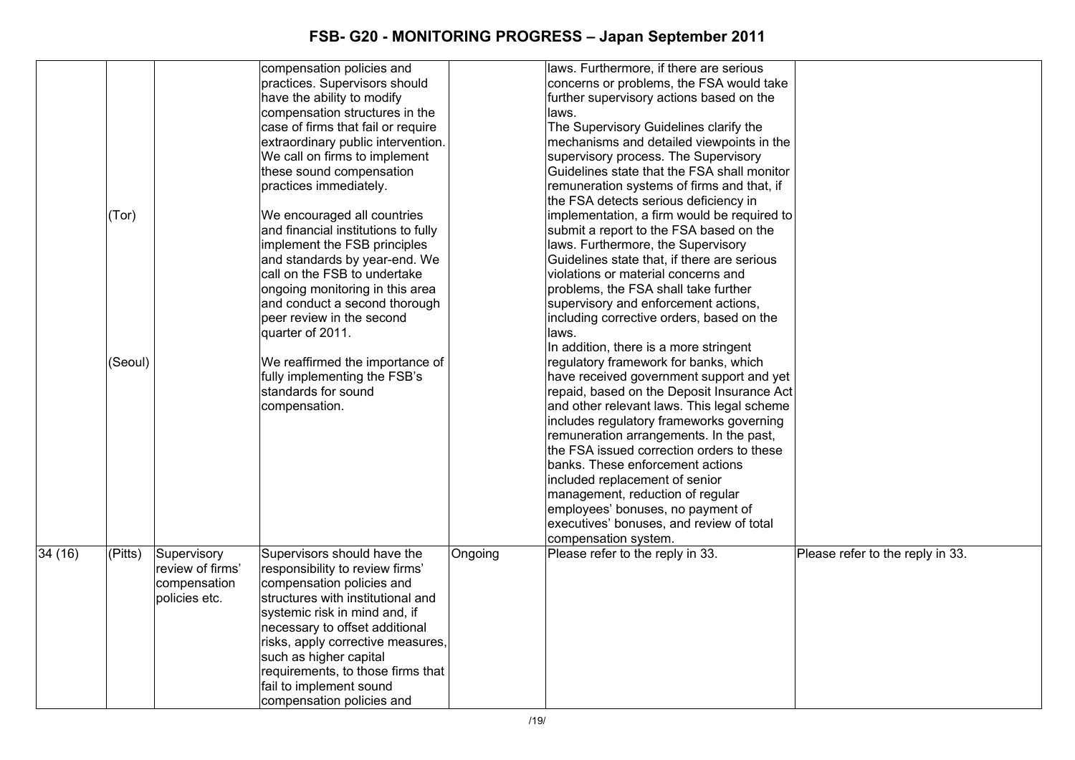| laws. Furthermore, if there are serious<br>compensation policies and                                                                                |  |
|-----------------------------------------------------------------------------------------------------------------------------------------------------|--|
| practices. Supervisors should<br>concerns or problems, the FSA would take                                                                           |  |
| have the ability to modify<br>further supervisory actions based on the                                                                              |  |
| compensation structures in the<br>laws.                                                                                                             |  |
| case of firms that fail or require<br>The Supervisory Guidelines clarify the                                                                        |  |
| mechanisms and detailed viewpoints in the<br>extraordinary public intervention.                                                                     |  |
| We call on firms to implement<br>supervisory process. The Supervisory                                                                               |  |
|                                                                                                                                                     |  |
| these sound compensation<br>Guidelines state that the FSA shall monitor                                                                             |  |
| practices immediately.<br>remuneration systems of firms and that, if                                                                                |  |
| the FSA detects serious deficiency in                                                                                                               |  |
| We encouraged all countries<br>implementation, a firm would be required to<br>(Tor)                                                                 |  |
| and financial institutions to fully<br>submit a report to the FSA based on the                                                                      |  |
| implement the FSB principles<br>laws. Furthermore, the Supervisory                                                                                  |  |
| and standards by year-end. We<br>Guidelines state that, if there are serious                                                                        |  |
| call on the FSB to undertake<br>violations or material concerns and                                                                                 |  |
| ongoing monitoring in this area<br>problems, the FSA shall take further                                                                             |  |
| and conduct a second thorough<br>supervisory and enforcement actions,                                                                               |  |
| peer review in the second<br>including corrective orders, based on the                                                                              |  |
| quarter of 2011.<br>laws.                                                                                                                           |  |
| In addition, there is a more stringent                                                                                                              |  |
|                                                                                                                                                     |  |
| regulatory framework for banks, which<br>(Seoul)<br>We reaffirmed the importance of                                                                 |  |
| fully implementing the FSB's<br>have received government support and yet                                                                            |  |
| standards for sound<br>repaid, based on the Deposit Insurance Act                                                                                   |  |
| and other relevant laws. This legal scheme<br>compensation.                                                                                         |  |
| includes regulatory frameworks governing                                                                                                            |  |
| remuneration arrangements. In the past,                                                                                                             |  |
| the FSA issued correction orders to these                                                                                                           |  |
| banks. These enforcement actions                                                                                                                    |  |
| included replacement of senior                                                                                                                      |  |
| management, reduction of regular                                                                                                                    |  |
| employees' bonuses, no payment of                                                                                                                   |  |
| executives' bonuses, and review of total                                                                                                            |  |
|                                                                                                                                                     |  |
| compensation system.                                                                                                                                |  |
| 34 (16)<br>(Pitts)<br>Supervisory<br>Supervisors should have the<br>Please refer to the reply in 33.<br>Please refer to the reply in 33.<br>Ongoing |  |
| review of firms'<br>responsibility to review firms'                                                                                                 |  |
| compensation policies and<br>compensation                                                                                                           |  |
| policies etc.<br>structures with institutional and                                                                                                  |  |
| systemic risk in mind and, if                                                                                                                       |  |
| necessary to offset additional                                                                                                                      |  |
| risks, apply corrective measures,                                                                                                                   |  |
| such as higher capital                                                                                                                              |  |
| requirements, to those firms that                                                                                                                   |  |
|                                                                                                                                                     |  |
| fail to implement sound                                                                                                                             |  |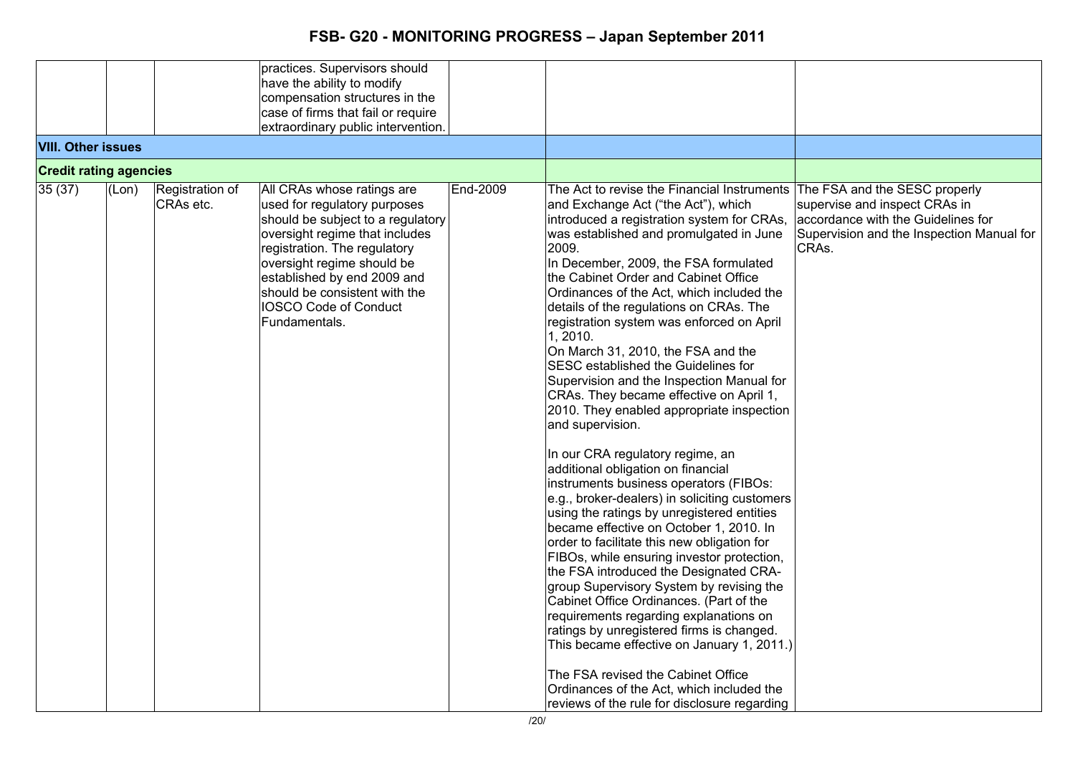|                               |       |                 | practices. Supervisors should      |          |                                               |                                           |
|-------------------------------|-------|-----------------|------------------------------------|----------|-----------------------------------------------|-------------------------------------------|
|                               |       |                 | have the ability to modify         |          |                                               |                                           |
|                               |       |                 | compensation structures in the     |          |                                               |                                           |
|                               |       |                 | case of firms that fail or require |          |                                               |                                           |
|                               |       |                 | extraordinary public intervention. |          |                                               |                                           |
| <b>VIII. Other issues</b>     |       |                 |                                    |          |                                               |                                           |
| <b>Credit rating agencies</b> |       |                 |                                    |          |                                               |                                           |
| 35(37)                        | (Lon) | Registration of | All CRAs whose ratings are         | End-2009 | The Act to revise the Financial Instruments   | The FSA and the SESC properly             |
|                               |       | CRAs etc.       | used for regulatory purposes       |          | and Exchange Act ("the Act"), which           | supervise and inspect CRAs in             |
|                               |       |                 | should be subject to a regulatory  |          | introduced a registration system for CRAs,    | accordance with the Guidelines for        |
|                               |       |                 | oversight regime that includes     |          | was established and promulgated in June       | Supervision and the Inspection Manual for |
|                               |       |                 | registration. The regulatory       |          | 2009.                                         | CRAs.                                     |
|                               |       |                 |                                    |          |                                               |                                           |
|                               |       |                 | oversight regime should be         |          | In December, 2009, the FSA formulated         |                                           |
|                               |       |                 | established by end 2009 and        |          | the Cabinet Order and Cabinet Office          |                                           |
|                               |       |                 | should be consistent with the      |          | Ordinances of the Act, which included the     |                                           |
|                               |       |                 | <b>IOSCO Code of Conduct</b>       |          | details of the regulations on CRAs. The       |                                           |
|                               |       |                 | Fundamentals.                      |          | registration system was enforced on April     |                                           |
|                               |       |                 |                                    |          | 1, 2010.                                      |                                           |
|                               |       |                 |                                    |          | On March 31, 2010, the FSA and the            |                                           |
|                               |       |                 |                                    |          | SESC established the Guidelines for           |                                           |
|                               |       |                 |                                    |          | Supervision and the Inspection Manual for     |                                           |
|                               |       |                 |                                    |          | CRAs. They became effective on April 1,       |                                           |
|                               |       |                 |                                    |          | 2010. They enabled appropriate inspection     |                                           |
|                               |       |                 |                                    |          |                                               |                                           |
|                               |       |                 |                                    |          | and supervision.                              |                                           |
|                               |       |                 |                                    |          | In our CRA regulatory regime, an              |                                           |
|                               |       |                 |                                    |          | additional obligation on financial            |                                           |
|                               |       |                 |                                    |          | instruments business operators (FIBOs:        |                                           |
|                               |       |                 |                                    |          | e.g., broker-dealers) in soliciting customers |                                           |
|                               |       |                 |                                    |          | using the ratings by unregistered entities    |                                           |
|                               |       |                 |                                    |          | became effective on October 1, 2010. In       |                                           |
|                               |       |                 |                                    |          | order to facilitate this new obligation for   |                                           |
|                               |       |                 |                                    |          | FIBOs, while ensuring investor protection,    |                                           |
|                               |       |                 |                                    |          | the FSA introduced the Designated CRA-        |                                           |
|                               |       |                 |                                    |          | group Supervisory System by revising the      |                                           |
|                               |       |                 |                                    |          | Cabinet Office Ordinances. (Part of the       |                                           |
|                               |       |                 |                                    |          | requirements regarding explanations on        |                                           |
|                               |       |                 |                                    |          |                                               |                                           |
|                               |       |                 |                                    |          | ratings by unregistered firms is changed.     |                                           |
|                               |       |                 |                                    |          | This became effective on January 1, 2011.)    |                                           |
|                               |       |                 |                                    |          | The FSA revised the Cabinet Office            |                                           |
|                               |       |                 |                                    |          | Ordinances of the Act, which included the     |                                           |
|                               |       |                 |                                    |          | reviews of the rule for disclosure regarding  |                                           |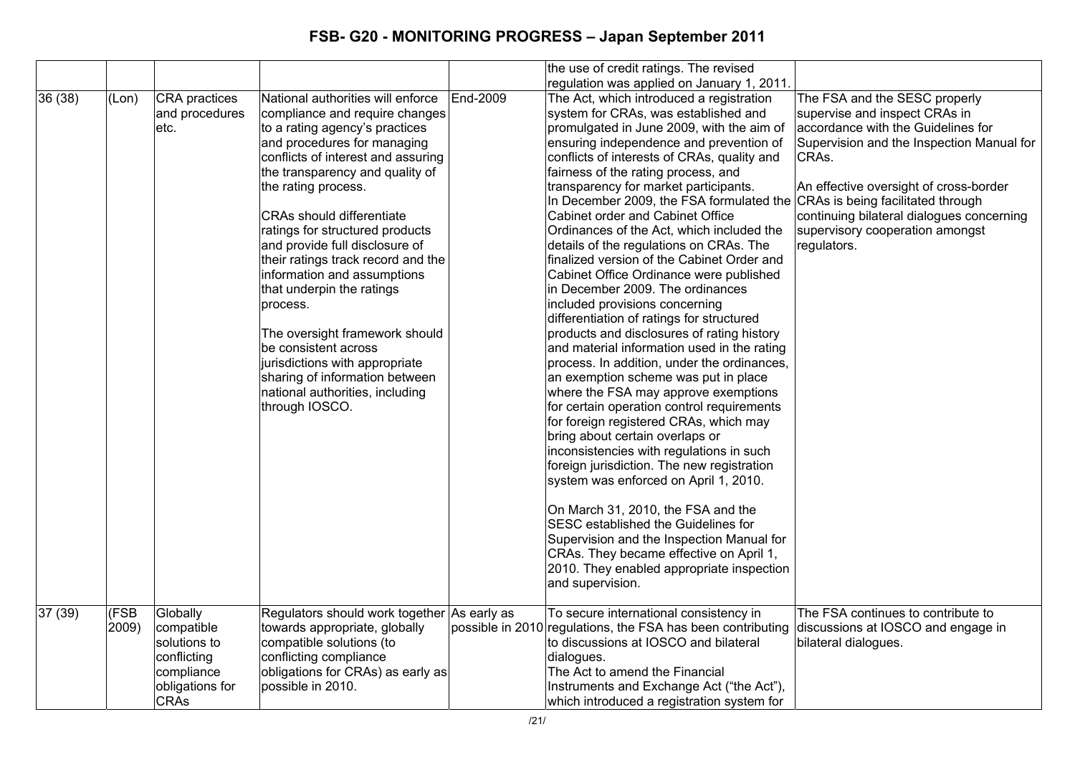|        |       |                 |                                             |          | the use of credit ratings. The revised                      |                                           |
|--------|-------|-----------------|---------------------------------------------|----------|-------------------------------------------------------------|-------------------------------------------|
|        |       |                 |                                             |          | regulation was applied on January 1, 2011.                  |                                           |
| 36(38) | (Lon) | CRA practices   | National authorities will enforce           | End-2009 | The Act, which introduced a registration                    | The FSA and the SESC properly             |
|        |       | and procedures  | compliance and require changes              |          | system for CRAs, was established and                        | supervise and inspect CRAs in             |
|        |       | etc.            | to a rating agency's practices              |          | promulgated in June 2009, with the aim of                   | accordance with the Guidelines for        |
|        |       |                 | and procedures for managing                 |          | ensuring independence and prevention of                     | Supervision and the Inspection Manual for |
|        |       |                 | conflicts of interest and assuring          |          | conflicts of interests of CRAs, quality and                 | CRAs.                                     |
|        |       |                 | the transparency and quality of             |          | fairness of the rating process, and                         |                                           |
|        |       |                 | the rating process.                         |          | transparency for market participants.                       | An effective oversight of cross-border    |
|        |       |                 |                                             |          | In December 2009, the FSA formulated the                    | CRAs is being facilitated through         |
|        |       |                 | <b>CRAs should differentiate</b>            |          | Cabinet order and Cabinet Office                            | continuing bilateral dialogues concerning |
|        |       |                 | ratings for structured products             |          | Ordinances of the Act, which included the                   | supervisory cooperation amongst           |
|        |       |                 | and provide full disclosure of              |          | details of the regulations on CRAs. The                     | regulators.                               |
|        |       |                 | their ratings track record and the          |          | finalized version of the Cabinet Order and                  |                                           |
|        |       |                 | information and assumptions                 |          | Cabinet Office Ordinance were published                     |                                           |
|        |       |                 | that underpin the ratings                   |          | in December 2009. The ordinances                            |                                           |
|        |       |                 | process.                                    |          | included provisions concerning                              |                                           |
|        |       |                 |                                             |          | differentiation of ratings for structured                   |                                           |
|        |       |                 | The oversight framework should              |          | products and disclosures of rating history                  |                                           |
|        |       |                 | be consistent across                        |          | and material information used in the rating                 |                                           |
|        |       |                 | jurisdictions with appropriate              |          | process. In addition, under the ordinances,                 |                                           |
|        |       |                 | sharing of information between              |          | an exemption scheme was put in place                        |                                           |
|        |       |                 | national authorities, including             |          | where the FSA may approve exemptions                        |                                           |
|        |       |                 | through IOSCO.                              |          | for certain operation control requirements                  |                                           |
|        |       |                 |                                             |          | for foreign registered CRAs, which may                      |                                           |
|        |       |                 |                                             |          | bring about certain overlaps or                             |                                           |
|        |       |                 |                                             |          | inconsistencies with regulations in such                    |                                           |
|        |       |                 |                                             |          | foreign jurisdiction. The new registration                  |                                           |
|        |       |                 |                                             |          | system was enforced on April 1, 2010.                       |                                           |
|        |       |                 |                                             |          | On March 31, 2010, the FSA and the                          |                                           |
|        |       |                 |                                             |          | SESC established the Guidelines for                         |                                           |
|        |       |                 |                                             |          | Supervision and the Inspection Manual for                   |                                           |
|        |       |                 |                                             |          | CRAs. They became effective on April 1,                     |                                           |
|        |       |                 |                                             |          | 2010. They enabled appropriate inspection                   |                                           |
|        |       |                 |                                             |          | and supervision.                                            |                                           |
|        |       |                 |                                             |          |                                                             |                                           |
| 37(39) | (FSB) | Globally        | Regulators should work together As early as |          | To secure international consistency in                      | The FSA continues to contribute to        |
|        | 2009) | compatible      | towards appropriate, globally               |          | possible in 2010 regulations, the FSA has been contributing | discussions at IOSCO and engage in        |
|        |       | solutions to    | compatible solutions (to                    |          | to discussions at IOSCO and bilateral                       | bilateral dialogues.                      |
|        |       | conflicting     | conflicting compliance                      |          | dialogues.                                                  |                                           |
|        |       | compliance      | obligations for CRAs) as early as           |          | The Act to amend the Financial                              |                                           |
|        |       | obligations for | possible in 2010.                           |          | Instruments and Exchange Act ("the Act"),                   |                                           |
|        |       | <b>CRAs</b>     |                                             |          | which introduced a registration system for                  |                                           |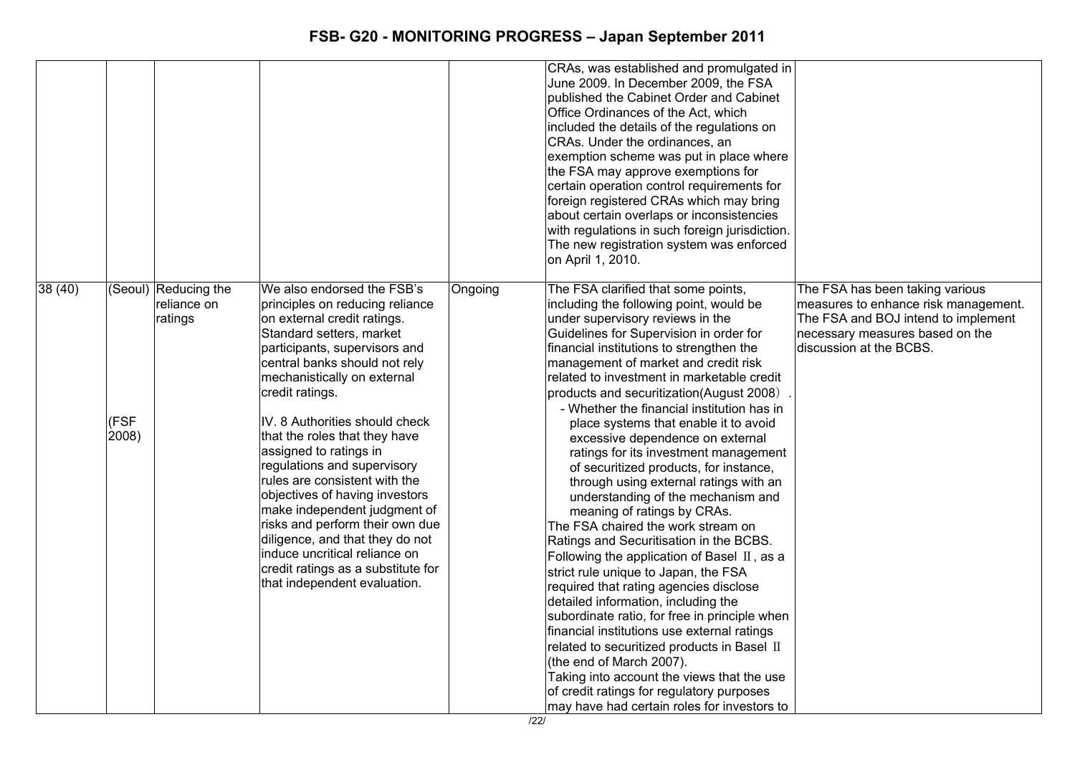|        |               |                                                |                                                                                                                                                                                                                                                                                                                                                                                                                                                                                                                                                                                                                                                          |         | CRAs, was established and promulgated in<br>June 2009. In December 2009, the FSA<br>published the Cabinet Order and Cabinet<br>Office Ordinances of the Act, which<br>included the details of the regulations on<br>CRAs. Under the ordinances, an<br>exemption scheme was put in place where<br>the FSA may approve exemptions for<br>certain operation control requirements for<br>foreign registered CRAs which may bring<br>about certain overlaps or inconsistencies<br>with regulations in such foreign jurisdiction.<br>The new registration system was enforced<br>on April 1, 2010.                                                                                                                                                                                                                                                                                                                                                                                                                                                                                                                                                                                                                                                                |                                                                                                                                                                              |
|--------|---------------|------------------------------------------------|----------------------------------------------------------------------------------------------------------------------------------------------------------------------------------------------------------------------------------------------------------------------------------------------------------------------------------------------------------------------------------------------------------------------------------------------------------------------------------------------------------------------------------------------------------------------------------------------------------------------------------------------------------|---------|-------------------------------------------------------------------------------------------------------------------------------------------------------------------------------------------------------------------------------------------------------------------------------------------------------------------------------------------------------------------------------------------------------------------------------------------------------------------------------------------------------------------------------------------------------------------------------------------------------------------------------------------------------------------------------------------------------------------------------------------------------------------------------------------------------------------------------------------------------------------------------------------------------------------------------------------------------------------------------------------------------------------------------------------------------------------------------------------------------------------------------------------------------------------------------------------------------------------------------------------------------------|------------------------------------------------------------------------------------------------------------------------------------------------------------------------------|
| 38(40) | (FSF<br>2008) | (Seoul) Reducing the<br>reliance on<br>ratings | We also endorsed the FSB's<br>principles on reducing reliance<br>on external credit ratings.<br>Standard setters, market<br>participants, supervisors and<br>central banks should not rely<br>mechanistically on external<br>credit ratings.<br>IV. 8 Authorities should check<br>that the roles that they have<br>assigned to ratings in<br>regulations and supervisory<br>rules are consistent with the<br>objectives of having investors<br>make independent judgment of<br>risks and perform their own due<br>diligence, and that they do not<br>induce uncritical reliance on<br>credit ratings as a substitute for<br>that independent evaluation. | Ongoing | The FSA clarified that some points,<br>including the following point, would be<br>under supervisory reviews in the<br>Guidelines for Supervision in order for<br>financial institutions to strengthen the<br>management of market and credit risk<br>related to investment in marketable credit<br>products and securitization(August 2008)<br>- Whether the financial institution has in<br>place systems that enable it to avoid<br>excessive dependence on external<br>ratings for its investment management<br>of securitized products, for instance,<br>through using external ratings with an<br>understanding of the mechanism and<br>meaning of ratings by CRAs.<br>The FSA chaired the work stream on<br>Ratings and Securitisation in the BCBS.<br>Following the application of Basel $\,$ II, as a<br>strict rule unique to Japan, the FSA<br>required that rating agencies disclose<br>detailed information, including the<br>subordinate ratio, for free in principle when<br>financial institutions use external ratings<br>related to securitized products in Basel II<br>(the end of March 2007).<br>Taking into account the views that the use<br>of credit ratings for regulatory purposes<br>may have had certain roles for investors to | The FSA has been taking various<br>measures to enhance risk management.<br>The FSA and BOJ intend to implement<br>necessary measures based on the<br>discussion at the BCBS. |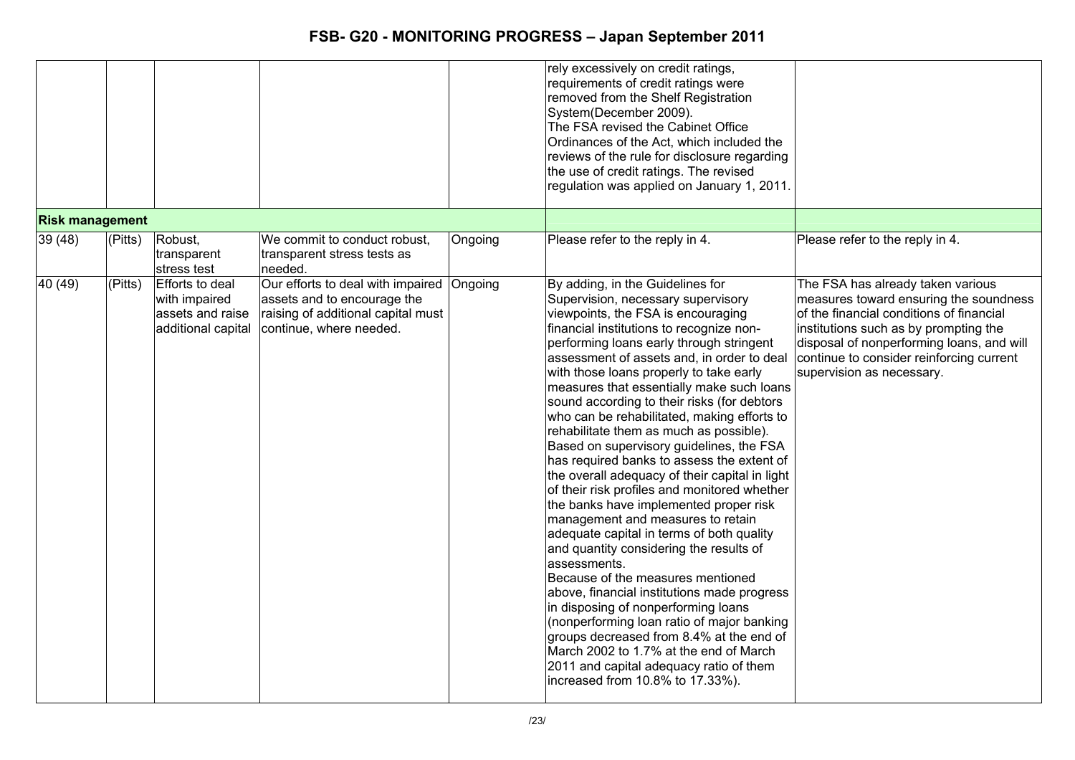|                        |                        |                                                                            |                                                                                                                                   |         | rely excessively on credit ratings,<br>requirements of credit ratings were<br>removed from the Shelf Registration<br>System(December 2009).<br>The FSA revised the Cabinet Office<br>Ordinances of the Act, which included the<br>reviews of the rule for disclosure regarding<br>the use of credit ratings. The revised<br>regulation was applied on January 1, 2011.                                                                                                                                                                                                                                                                                                                                                                                                                                                                                                                                                                                                                                                                                                                                                                                                                                               |                                                                                                                                                                                                                                                                                        |
|------------------------|------------------------|----------------------------------------------------------------------------|-----------------------------------------------------------------------------------------------------------------------------------|---------|----------------------------------------------------------------------------------------------------------------------------------------------------------------------------------------------------------------------------------------------------------------------------------------------------------------------------------------------------------------------------------------------------------------------------------------------------------------------------------------------------------------------------------------------------------------------------------------------------------------------------------------------------------------------------------------------------------------------------------------------------------------------------------------------------------------------------------------------------------------------------------------------------------------------------------------------------------------------------------------------------------------------------------------------------------------------------------------------------------------------------------------------------------------------------------------------------------------------|----------------------------------------------------------------------------------------------------------------------------------------------------------------------------------------------------------------------------------------------------------------------------------------|
| <b>Risk management</b> |                        |                                                                            |                                                                                                                                   |         |                                                                                                                                                                                                                                                                                                                                                                                                                                                                                                                                                                                                                                                                                                                                                                                                                                                                                                                                                                                                                                                                                                                                                                                                                      |                                                                                                                                                                                                                                                                                        |
| 39 (48)                | (Pitts)                | Robust,<br>transparent<br>stress test                                      | We commit to conduct robust,<br>transparent stress tests as<br>needed.                                                            | Ongoing | Please refer to the reply in 4.                                                                                                                                                                                                                                                                                                                                                                                                                                                                                                                                                                                                                                                                                                                                                                                                                                                                                                                                                                                                                                                                                                                                                                                      | Please refer to the reply in 4.                                                                                                                                                                                                                                                        |
| 40(49)                 | $\overline{P}$ (Pitts) | Efforts to deal<br>with impaired<br>assets and raise<br>additional capital | Our efforts to deal with impaired<br>assets and to encourage the<br>raising of additional capital must<br>continue, where needed. | Ongoing | By adding, in the Guidelines for<br>Supervision, necessary supervisory<br>viewpoints, the FSA is encouraging<br>financial institutions to recognize non-<br>performing loans early through stringent<br>assessment of assets and, in order to deal<br>with those loans properly to take early<br>measures that essentially make such loans<br>sound according to their risks (for debtors<br>who can be rehabilitated, making efforts to<br>rehabilitate them as much as possible).<br>Based on supervisory guidelines, the FSA<br>has required banks to assess the extent of<br>the overall adequacy of their capital in light<br>of their risk profiles and monitored whether<br>the banks have implemented proper risk<br>management and measures to retain<br>adequate capital in terms of both quality<br>and quantity considering the results of<br>assessments.<br>Because of the measures mentioned<br>above, financial institutions made progress<br>in disposing of nonperforming loans<br>(nonperforming loan ratio of major banking<br>groups decreased from 8.4% at the end of<br>March 2002 to 1.7% at the end of March<br>2011 and capital adequacy ratio of them<br>increased from 10.8% to 17.33%). | The FSA has already taken various<br>measures toward ensuring the soundness<br>of the financial conditions of financial<br>institutions such as by prompting the<br>disposal of nonperforming loans, and will<br>continue to consider reinforcing current<br>supervision as necessary. |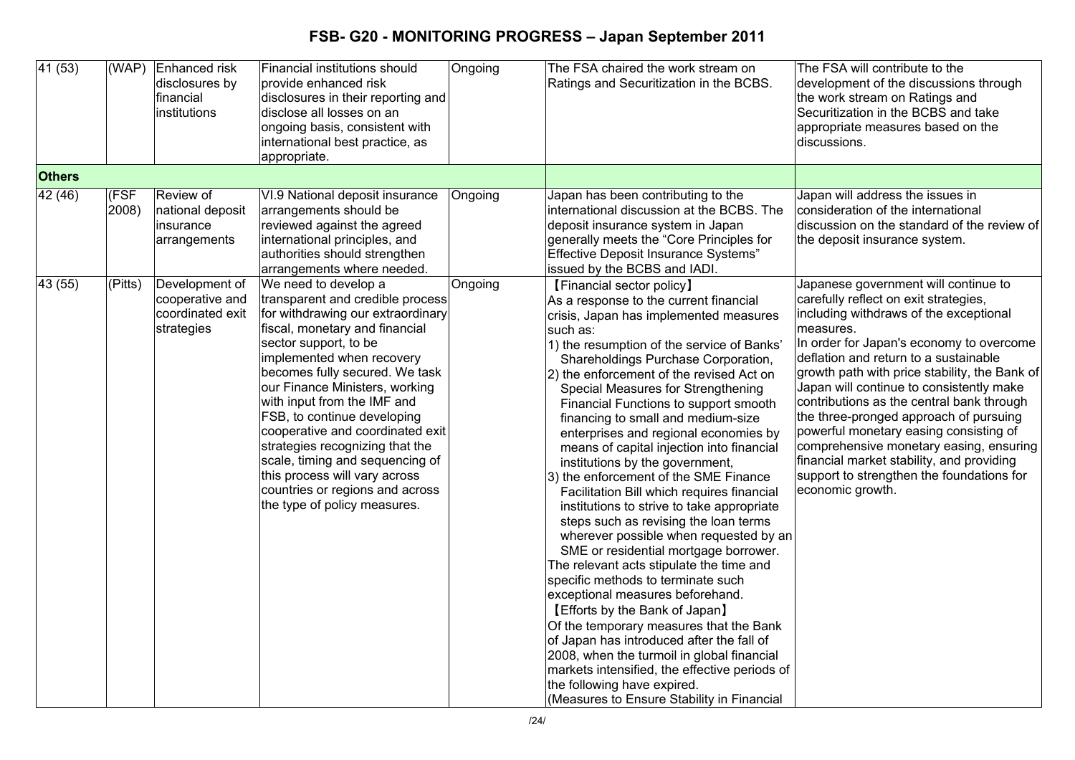| $\overline{41(53)}$ | (WAP)         | Enhanced risk<br>disclosures by<br>financial<br>institutions        | Financial institutions should<br>provide enhanced risk<br>disclosures in their reporting and<br>disclose all losses on an<br>ongoing basis, consistent with<br>international best practice, as<br>appropriate.                                                                                                                                                                                                                                                                                                                        | Ongoing | The FSA chaired the work stream on<br>Ratings and Securitization in the BCBS.                                                                                                                                                                                                                                                                                                                                                                                                                                                                                                                                                                                                                                                                                                                                                                                                                                                                                                                                                                                                                                                                                                                         | The FSA will contribute to the<br>development of the discussions through<br>the work stream on Ratings and<br>Securitization in the BCBS and take<br>appropriate measures based on the<br>discussions.                                                                                                                                                                                                                                                                                                                                                                                                           |
|---------------------|---------------|---------------------------------------------------------------------|---------------------------------------------------------------------------------------------------------------------------------------------------------------------------------------------------------------------------------------------------------------------------------------------------------------------------------------------------------------------------------------------------------------------------------------------------------------------------------------------------------------------------------------|---------|-------------------------------------------------------------------------------------------------------------------------------------------------------------------------------------------------------------------------------------------------------------------------------------------------------------------------------------------------------------------------------------------------------------------------------------------------------------------------------------------------------------------------------------------------------------------------------------------------------------------------------------------------------------------------------------------------------------------------------------------------------------------------------------------------------------------------------------------------------------------------------------------------------------------------------------------------------------------------------------------------------------------------------------------------------------------------------------------------------------------------------------------------------------------------------------------------------|------------------------------------------------------------------------------------------------------------------------------------------------------------------------------------------------------------------------------------------------------------------------------------------------------------------------------------------------------------------------------------------------------------------------------------------------------------------------------------------------------------------------------------------------------------------------------------------------------------------|
| <b>Others</b>       |               |                                                                     |                                                                                                                                                                                                                                                                                                                                                                                                                                                                                                                                       |         |                                                                                                                                                                                                                                                                                                                                                                                                                                                                                                                                                                                                                                                                                                                                                                                                                                                                                                                                                                                                                                                                                                                                                                                                       |                                                                                                                                                                                                                                                                                                                                                                                                                                                                                                                                                                                                                  |
| 42 (46)             | (FSF<br>2008) | Review of<br>national deposit<br>insurance<br>arrangements          | VI.9 National deposit insurance<br>arrangements should be<br>reviewed against the agreed<br>international principles, and<br>authorities should strengthen<br>arrangements where needed.                                                                                                                                                                                                                                                                                                                                              | Ongoing | Japan has been contributing to the<br>international discussion at the BCBS. The<br>deposit insurance system in Japan<br>generally meets the "Core Principles for<br>Effective Deposit Insurance Systems"<br>issued by the BCBS and IADI.                                                                                                                                                                                                                                                                                                                                                                                                                                                                                                                                                                                                                                                                                                                                                                                                                                                                                                                                                              | Japan will address the issues in<br>consideration of the international<br>discussion on the standard of the review of<br>the deposit insurance system.                                                                                                                                                                                                                                                                                                                                                                                                                                                           |
| 43 (55)             | (Pitts)       | Development of<br>cooperative and<br>coordinated exit<br>strategies | We need to develop a<br>transparent and credible process<br>for withdrawing our extraordinary<br>fiscal, monetary and financial<br>sector support, to be<br>implemented when recovery<br>becomes fully secured. We task<br>our Finance Ministers, working<br>with input from the IMF and<br>FSB, to continue developing<br>cooperative and coordinated exit<br>strategies recognizing that the<br>scale, timing and sequencing of<br>this process will vary across<br>countries or regions and across<br>the type of policy measures. | Ongoing | [Financial sector policy]<br>As a response to the current financial<br>crisis, Japan has implemented measures<br>such as:<br>1) the resumption of the service of Banks'<br>Shareholdings Purchase Corporation,<br>2) the enforcement of the revised Act on<br>Special Measures for Strengthening<br>Financial Functions to support smooth<br>financing to small and medium-size<br>enterprises and regional economies by<br>means of capital injection into financial<br>institutions by the government,<br>3) the enforcement of the SME Finance<br>Facilitation Bill which requires financial<br>institutions to strive to take appropriate<br>steps such as revising the loan terms<br>wherever possible when requested by an<br>SME or residential mortgage borrower.<br>The relevant acts stipulate the time and<br>specific methods to terminate such<br>exceptional measures beforehand.<br>[Efforts by the Bank of Japan]<br>Of the temporary measures that the Bank<br>of Japan has introduced after the fall of<br>2008, when the turmoil in global financial<br>markets intensified, the effective periods of<br>the following have expired.<br>(Measures to Ensure Stability in Financial | Japanese government will continue to<br>carefully reflect on exit strategies,<br>including withdraws of the exceptional<br>measures.<br>In order for Japan's economy to overcome<br>deflation and return to a sustainable<br>growth path with price stability, the Bank of<br>Japan will continue to consistently make<br>contributions as the central bank through<br>the three-pronged approach of pursuing<br>powerful monetary easing consisting of<br>comprehensive monetary easing, ensuring<br>financial market stability, and providing<br>support to strengthen the foundations for<br>economic growth. |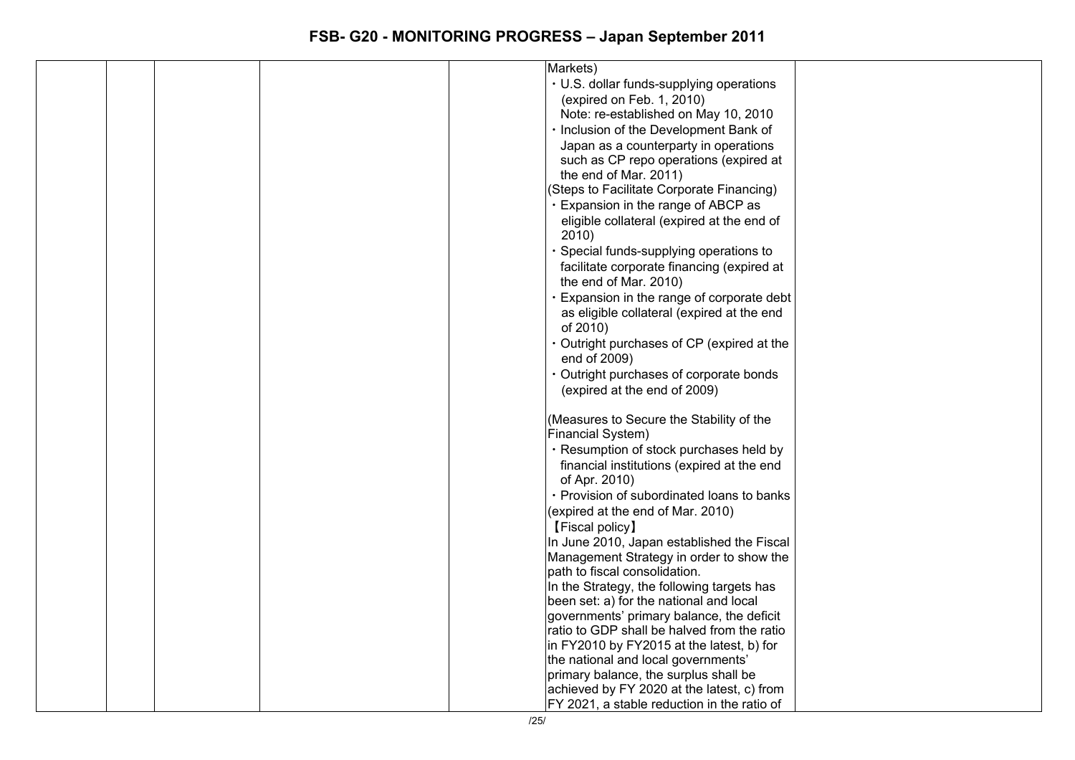| Markets)                                                                              |  |
|---------------------------------------------------------------------------------------|--|
| • U.S. dollar funds-supplying operations                                              |  |
| (expired on Feb. 1, 2010)                                                             |  |
| Note: re-established on May 10, 2010                                                  |  |
| · Inclusion of the Development Bank of                                                |  |
| Japan as a counterparty in operations                                                 |  |
| such as CP repo operations (expired at                                                |  |
| the end of Mar. 2011)                                                                 |  |
| (Steps to Facilitate Corporate Financing)                                             |  |
| Expansion in the range of ABCP as                                                     |  |
| eligible collateral (expired at the end of                                            |  |
| 2010)                                                                                 |  |
| · Special funds-supplying operations to                                               |  |
| facilitate corporate financing (expired at                                            |  |
| the end of Mar. 2010)                                                                 |  |
| Expansion in the range of corporate debt                                              |  |
| as eligible collateral (expired at the end                                            |  |
| of 2010)                                                                              |  |
| Outright purchases of CP (expired at the                                              |  |
| end of 2009)                                                                          |  |
| Outright purchases of corporate bonds                                                 |  |
| (expired at the end of 2009)                                                          |  |
|                                                                                       |  |
| (Measures to Secure the Stability of the                                              |  |
| Financial System)                                                                     |  |
| · Resumption of stock purchases held by                                               |  |
| financial institutions (expired at the end                                            |  |
| of Apr. 2010)                                                                         |  |
| · Provision of subordinated loans to banks                                            |  |
| (expired at the end of Mar. 2010)                                                     |  |
| [Fiscal policy]                                                                       |  |
| In June 2010, Japan established the Fiscal                                            |  |
| Management Strategy in order to show the                                              |  |
| path to fiscal consolidation.                                                         |  |
| In the Strategy, the following targets has<br>been set: a) for the national and local |  |
| governments' primary balance, the deficit                                             |  |
| ratio to GDP shall be halved from the ratio                                           |  |
| in FY2010 by FY2015 at the latest, b) for                                             |  |
| the national and local governments'                                                   |  |
| primary balance, the surplus shall be                                                 |  |
| achieved by FY 2020 at the latest, c) from                                            |  |
| FY 2021, a stable reduction in the ratio of                                           |  |